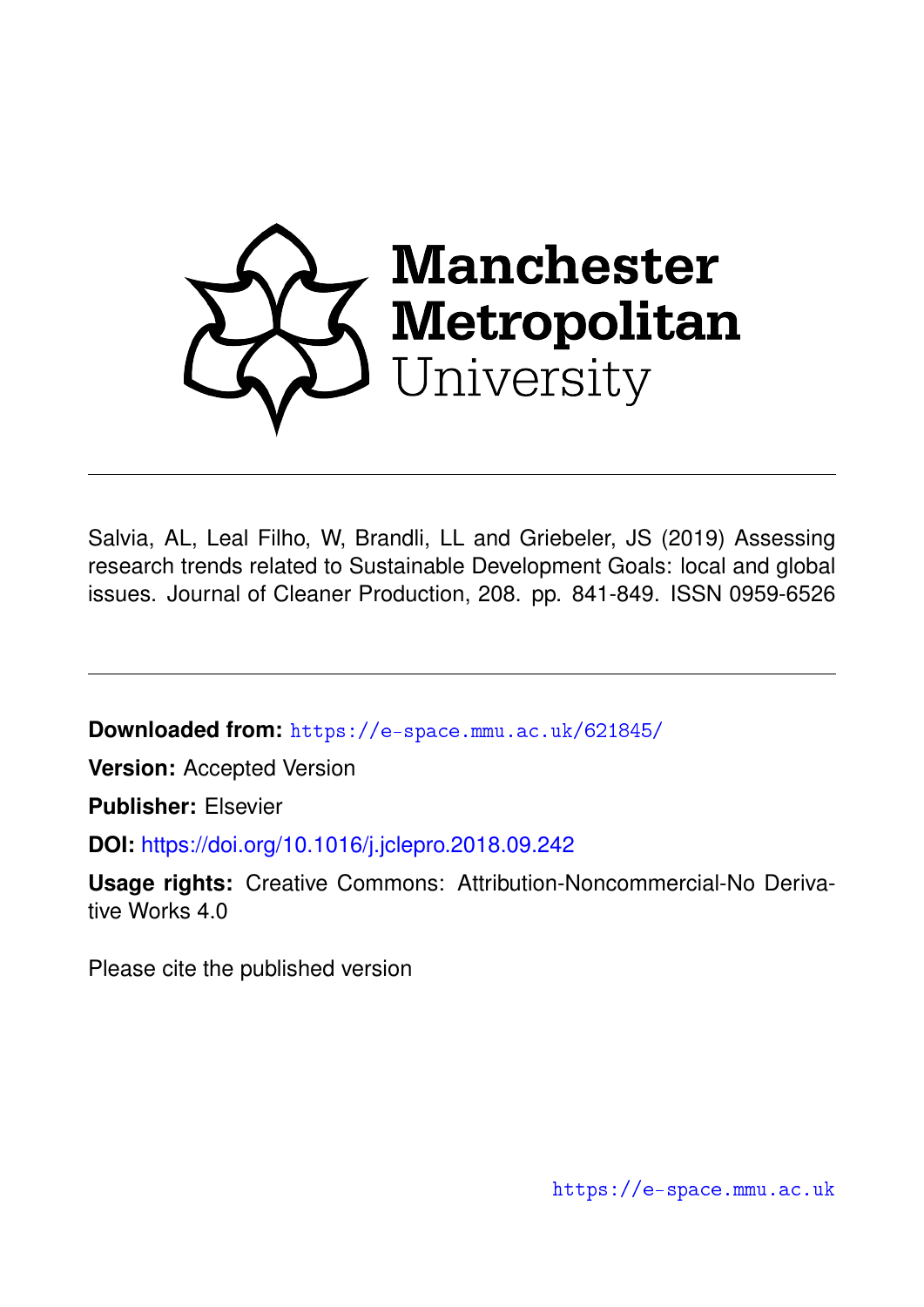

Salvia, AL, Leal Filho, W, Brandli, LL and Griebeler, JS (2019) Assessing research trends related to Sustainable Development Goals: local and global issues. Journal of Cleaner Production, 208. pp. 841-849. ISSN 0959-6526

**Downloaded from:** <https://e-space.mmu.ac.uk/621845/>

**Version:** Accepted Version

**Publisher:** Elsevier

**DOI:** <https://doi.org/10.1016/j.jclepro.2018.09.242>

**Usage rights:** Creative Commons: Attribution-Noncommercial-No Derivative Works 4.0

Please cite the published version

<https://e-space.mmu.ac.uk>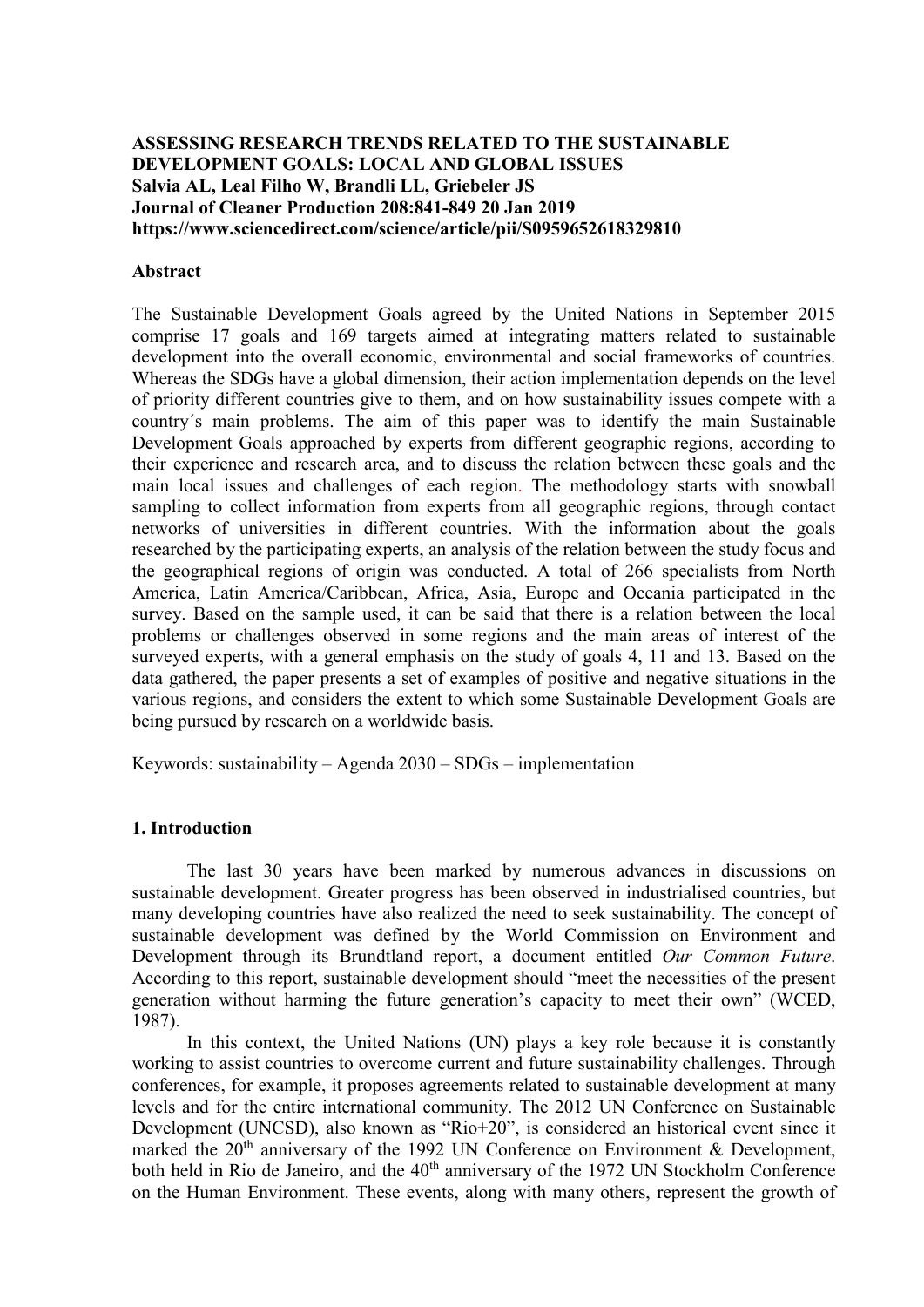# **ASSESSING RESEARCH TRENDS RELATED TO THE SUSTAINABLE DEVELOPMENT GOALS: LOCAL AND GLOBAL ISSUES Salvia AL, Leal Filho W, Brandli LL, Griebeler JS Journal of Cleaner Production 208:841-849 20 Jan 2019 https://www.sciencedirect.com/science/article/pii/S0959652618329810**

# **Abstract**

The Sustainable Development Goals agreed by the United Nations in September 2015 comprise 17 goals and 169 targets aimed at integrating matters related to sustainable development into the overall economic, environmental and social frameworks of countries. Whereas the SDGs have a global dimension, their action implementation depends on the level of priority different countries give to them, and on how sustainability issues compete with a country´s main problems. The aim of this paper was to identify the main Sustainable Development Goals approached by experts from different geographic regions, according to their experience and research area, and to discuss the relation between these goals and the main local issues and challenges of each region. The methodology starts with snowball sampling to collect information from experts from all geographic regions, through contact networks of universities in different countries. With the information about the goals researched by the participating experts, an analysis of the relation between the study focus and the geographical regions of origin was conducted. A total of 266 specialists from North America, Latin America/Caribbean, Africa, Asia, Europe and Oceania participated in the survey. Based on the sample used, it can be said that there is a relation between the local problems or challenges observed in some regions and the main areas of interest of the surveyed experts, with a general emphasis on the study of goals 4, 11 and 13. Based on the data gathered, the paper presents a set of examples of positive and negative situations in the various regions, and considers the extent to which some Sustainable Development Goals are being pursued by research on a worldwide basis.

Keywords: sustainability – Agenda 2030 – SDGs – implementation

# **1. Introduction**

The last 30 years have been marked by numerous advances in discussions on sustainable development. Greater progress has been observed in industrialised countries, but many developing countries have also realized the need to seek sustainability. The concept of sustainable development was defined by the World Commission on Environment and Development through its Brundtland report, a document entitled *Our Common Future*. According to this report, sustainable development should "meet the necessities of the present generation without harming the future generation's capacity to meet their own" (WCED, 1987).

In this context, the United Nations (UN) plays a key role because it is constantly working to assist countries to overcome current and future sustainability challenges. Through conferences, for example, it proposes agreements related to sustainable development at many levels and for the entire international community. The 2012 UN Conference on Sustainable Development (UNCSD), also known as "Rio+20", is considered an historical event since it marked the  $20<sup>th</sup>$  anniversary of the 1992 UN Conference on Environment & Development, both held in Rio de Janeiro, and the  $40<sup>th</sup>$  anniversary of the 1972 UN Stockholm Conference on the Human Environment. These events, along with many others, represent the growth of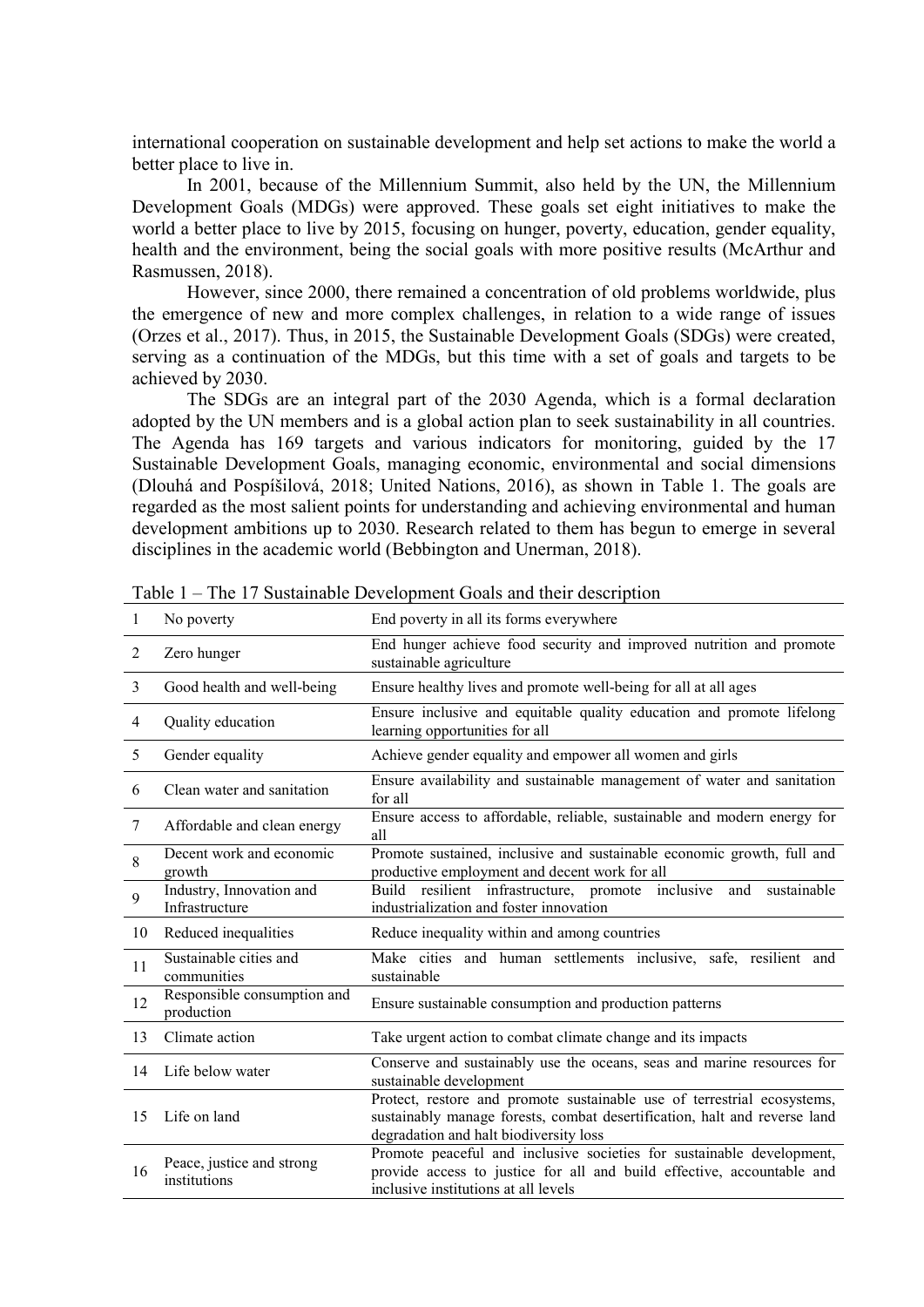international cooperation on sustainable development and help set actions to make the world a better place to live in.

In 2001, because of the Millennium Summit, also held by the UN, the Millennium Development Goals (MDGs) were approved. These goals set eight initiatives to make the world a better place to live by 2015, focusing on hunger, poverty, education, gender equality, health and the environment, being the social goals with more positive results (McArthur and Rasmussen, 2018).

However, since 2000, there remained a concentration of old problems worldwide, plus the emergence of new and more complex challenges, in relation to a wide range of issues (Orzes et al., 2017). Thus, in 2015, the Sustainable Development Goals (SDGs) were created, serving as a continuation of the MDGs, but this time with a set of goals and targets to be achieved by 2030.

The SDGs are an integral part of the 2030 Agenda, which is a formal declaration adopted by the UN members and is a global action plan to seek sustainability in all countries. The Agenda has 169 targets and various indicators for monitoring, guided by the 17 Sustainable Development Goals, managing economic, environmental and social dimensions (Dlouhá and Pospíšilová, 2018; United Nations, 2016), as shown in Table 1. The goals are regarded as the most salient points for understanding and achieving environmental and human development ambitions up to 2030. Research related to them has begun to emerge in several disciplines in the academic world (Bebbington and Unerman, 2018).

| 1  | No poverty                                 | End poverty in all its forms everywhere                                                                                                                                                        |
|----|--------------------------------------------|------------------------------------------------------------------------------------------------------------------------------------------------------------------------------------------------|
| 2  | Zero hunger                                | End hunger achieve food security and improved nutrition and promote<br>sustainable agriculture                                                                                                 |
| 3  | Good health and well-being                 | Ensure healthy lives and promote well-being for all at all ages                                                                                                                                |
| 4  | Quality education                          | Ensure inclusive and equitable quality education and promote lifelong<br>learning opportunities for all                                                                                        |
| 5  | Gender equality                            | Achieve gender equality and empower all women and girls                                                                                                                                        |
| 6  | Clean water and sanitation                 | Ensure availability and sustainable management of water and sanitation<br>for all                                                                                                              |
| 7  | Affordable and clean energy                | Ensure access to affordable, reliable, sustainable and modern energy for<br>all                                                                                                                |
| 8  | Decent work and economic<br>growth         | Promote sustained, inclusive and sustainable economic growth, full and<br>productive employment and decent work for all                                                                        |
| 9  | Industry, Innovation and<br>Infrastructure | Build resilient infrastructure, promote inclusive and<br>sustainable<br>industrialization and foster innovation                                                                                |
| 10 | Reduced inequalities                       | Reduce inequality within and among countries                                                                                                                                                   |
| 11 | Sustainable cities and<br>communities      | Make cities and human settlements inclusive, safe, resilient and<br>sustainable                                                                                                                |
| 12 | Responsible consumption and<br>production  | Ensure sustainable consumption and production patterns                                                                                                                                         |
| 13 | Climate action                             | Take urgent action to combat climate change and its impacts                                                                                                                                    |
| 14 | Life below water                           | Conserve and sustainably use the oceans, seas and marine resources for<br>sustainable development                                                                                              |
| 15 | Life on land                               | Protect, restore and promote sustainable use of terrestrial ecosystems,<br>sustainably manage forests, combat desertification, halt and reverse land<br>degradation and halt biodiversity loss |
| 16 | Peace, justice and strong<br>institutions  | Promote peaceful and inclusive societies for sustainable development,<br>provide access to justice for all and build effective, accountable and<br>inclusive institutions at all levels        |

Table 1 – The 17 Sustainable Development Goals and their description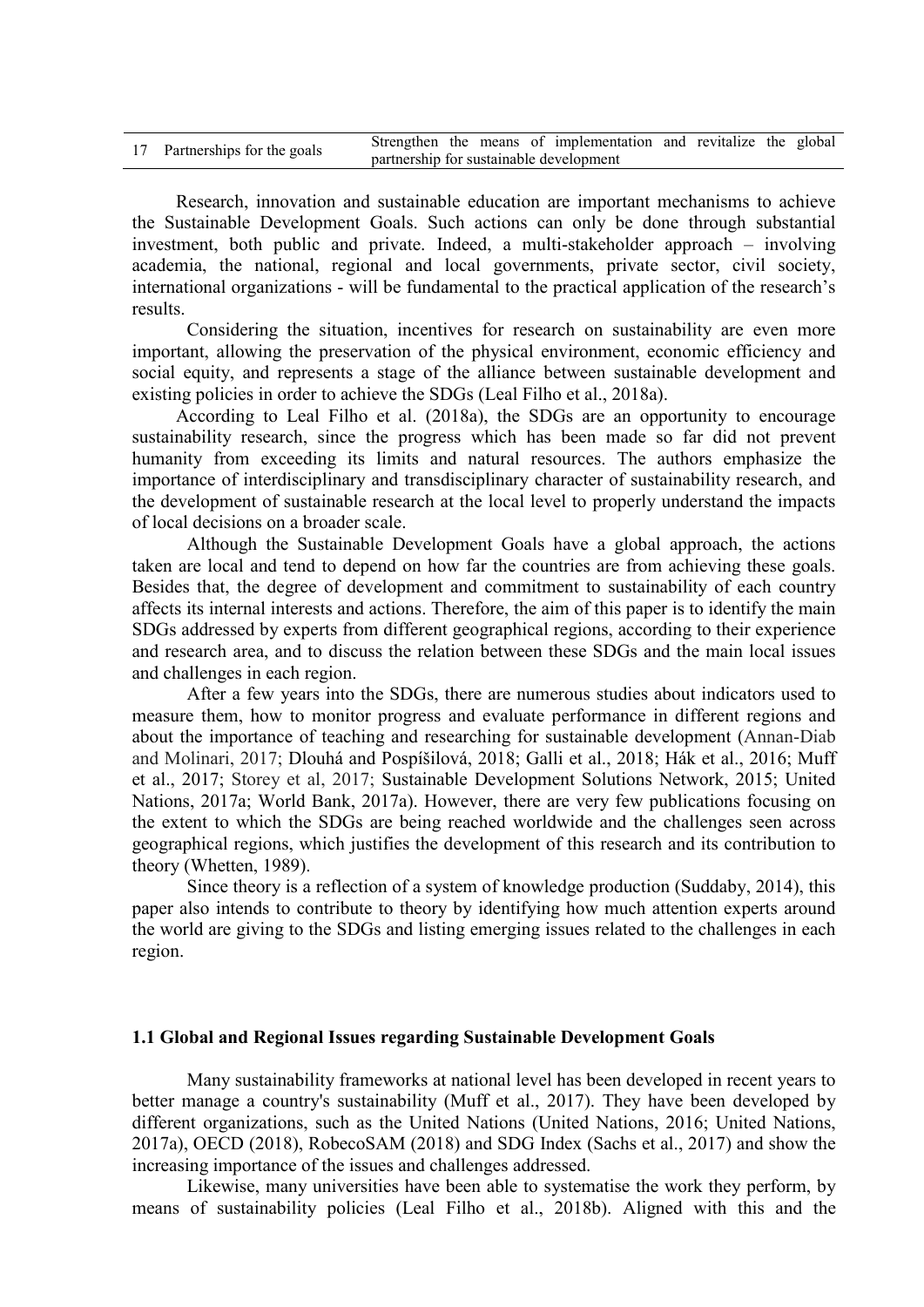|  | 17 Partnerships for the goals |  |  | Strengthen the means of implementation and revitalize the global |  |  |
|--|-------------------------------|--|--|------------------------------------------------------------------|--|--|
|  |                               |  |  | partnership for sustainable development                          |  |  |

Research, innovation and sustainable education are important mechanisms to achieve the Sustainable Development Goals. Such actions can only be done through substantial investment, both public and private. Indeed, a multi-stakeholder approach – involving academia, the national, regional and local governments, private sector, civil society, international organizations - will be fundamental to the practical application of the research's results.

Considering the situation, incentives for research on sustainability are even more important, allowing the preservation of the physical environment, economic efficiency and social equity, and represents a stage of the alliance between sustainable development and existing policies in order to achieve the SDGs (Leal Filho et al., 2018a).

According to Leal Filho et al. (2018a), the SDGs are an opportunity to encourage sustainability research, since the progress which has been made so far did not prevent humanity from exceeding its limits and natural resources. The authors emphasize the importance of interdisciplinary and transdisciplinary character of sustainability research, and the development of sustainable research at the local level to properly understand the impacts of local decisions on a broader scale.

Although the Sustainable Development Goals have a global approach, the actions taken are local and tend to depend on how far the countries are from achieving these goals. Besides that, the degree of development and commitment to sustainability of each country affects its internal interests and actions. Therefore, the aim of this paper is to identify the main SDGs addressed by experts from different geographical regions, according to their experience and research area, and to discuss the relation between these SDGs and the main local issues and challenges in each region.

After a few years into the SDGs, there are numerous studies about indicators used to measure them, how to monitor progress and evaluate performance in different regions and about the importance of teaching and researching for sustainable development (Annan-Diab and Molinari, 2017; Dlouhá and Pospíšilová, 2018; Galli et al., 2018; Hák et al., 2016; Muff et al., 2017; Storey et al, 2017; Sustainable Development Solutions Network, 2015; United Nations, 2017a; World Bank, 2017a). However, there are very few publications focusing on the extent to which the SDGs are being reached worldwide and the challenges seen across geographical regions, which justifies the development of this research and its contribution to theory (Whetten, 1989).

Since theory is a reflection of a system of knowledge production (Suddaby, 2014), this paper also intends to contribute to theory by identifying how much attention experts around the world are giving to the SDGs and listing emerging issues related to the challenges in each region.

### **1.1 Global and Regional Issues regarding Sustainable Development Goals**

Many sustainability frameworks at national level has been developed in recent years to better manage a country's sustainability (Muff et al., 2017). They have been developed by different organizations, such as the United Nations (United Nations, 2016; United Nations, 2017a), OECD (2018), RobecoSAM (2018) and SDG Index (Sachs et al., 2017) and show the increasing importance of the issues and challenges addressed.

Likewise, many universities have been able to systematise the work they perform, by means of sustainability policies (Leal Filho et al., 2018b). Aligned with this and the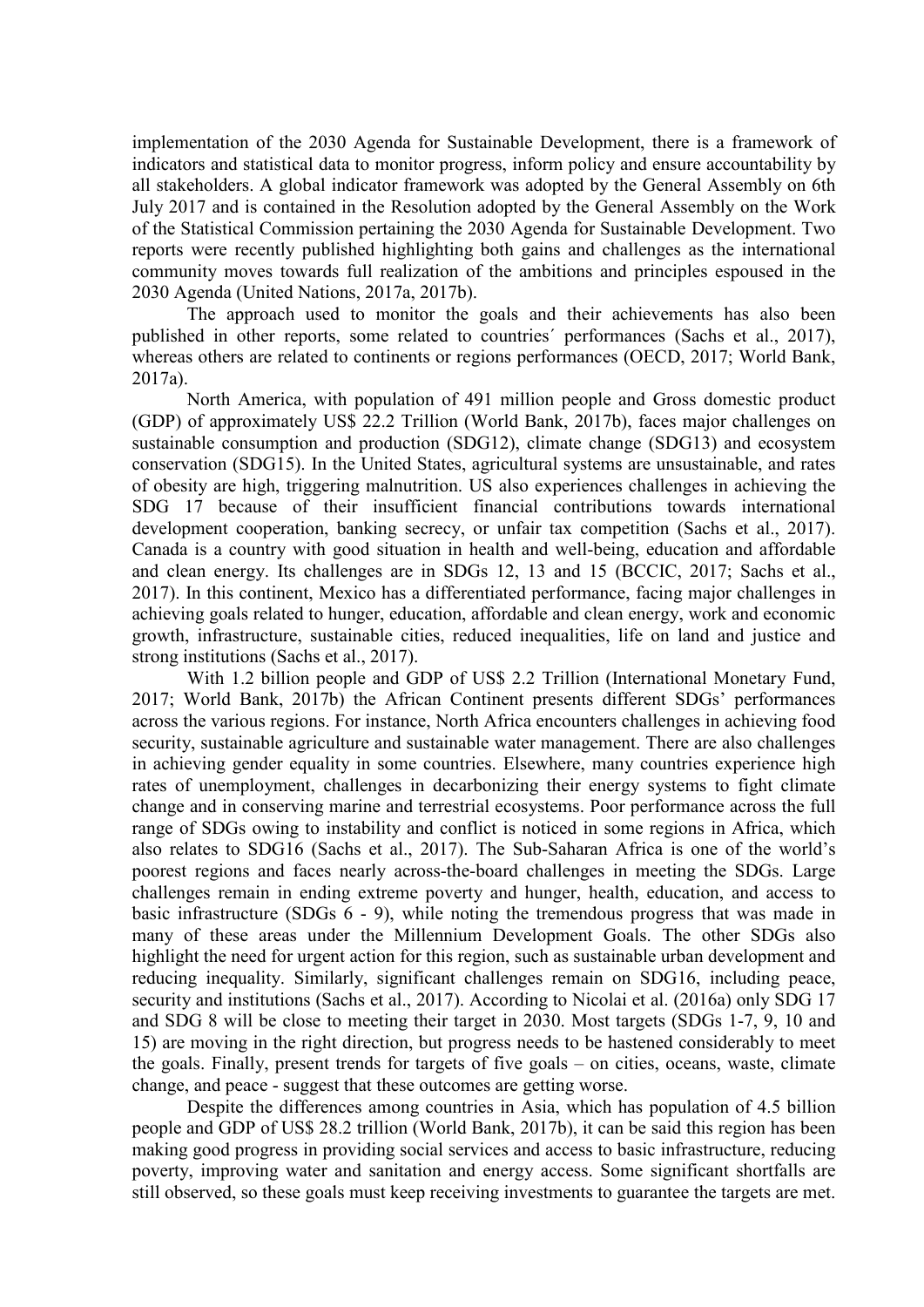implementation of the 2030 Agenda for Sustainable Development, there is a framework of indicators and statistical data to monitor progress, inform policy and ensure accountability by all stakeholders. A global indicator framework was adopted by the General Assembly on 6th July 2017 and is contained in the Resolution adopted by the General Assembly on the Work of the Statistical Commission pertaining the 2030 Agenda for Sustainable Development. Two reports were recently published highlighting both gains and challenges as the international community moves towards full realization of the ambitions and principles espoused in the 2030 Agenda (United Nations, 2017a, 2017b).

The approach used to monitor the goals and their achievements has also been published in other reports, some related to countries´ performances (Sachs et al., 2017), whereas others are related to continents or regions performances (OECD, 2017; World Bank, 2017a).

North America, with population of 491 million people and Gross domestic product (GDP) of approximately US\$ 22.2 Trillion (World Bank, 2017b), faces major challenges on sustainable consumption and production (SDG12), climate change (SDG13) and ecosystem conservation (SDG15). In the United States, agricultural systems are unsustainable, and rates of obesity are high, triggering malnutrition. US also experiences challenges in achieving the SDG 17 because of their insufficient financial contributions towards international development cooperation, banking secrecy, or unfair tax competition (Sachs et al., 2017). Canada is a country with good situation in health and well-being, education and affordable and clean energy. Its challenges are in SDGs 12, 13 and 15 (BCCIC, 2017; Sachs et al., 2017). In this continent, Mexico has a differentiated performance, facing major challenges in achieving goals related to hunger, education, affordable and clean energy, work and economic growth, infrastructure, sustainable cities, reduced inequalities, life on land and justice and strong institutions (Sachs et al., 2017).

With 1.2 billion people and GDP of US\$ 2.2 Trillion (International Monetary Fund, 2017; World Bank, 2017b) the African Continent presents different SDGs' performances across the various regions. For instance, North Africa encounters challenges in achieving food security, sustainable agriculture and sustainable water management. There are also challenges in achieving gender equality in some countries. Elsewhere, many countries experience high rates of unemployment, challenges in decarbonizing their energy systems to fight climate change and in conserving marine and terrestrial ecosystems. Poor performance across the full range of SDGs owing to instability and conflict is noticed in some regions in Africa, which also relates to SDG16 (Sachs et al., 2017). The Sub-Saharan Africa is one of the world's poorest regions and faces nearly across-the-board challenges in meeting the SDGs. Large challenges remain in ending extreme poverty and hunger, health, education, and access to basic infrastructure (SDGs 6 - 9), while noting the tremendous progress that was made in many of these areas under the Millennium Development Goals. The other SDGs also highlight the need for urgent action for this region, such as sustainable urban development and reducing inequality. Similarly, significant challenges remain on SDG16, including peace, security and institutions (Sachs et al., 2017). According to Nicolai et al. (2016a) only SDG 17 and SDG 8 will be close to meeting their target in 2030. Most targets (SDGs 1-7, 9, 10 and 15) are moving in the right direction, but progress needs to be hastened considerably to meet the goals. Finally, present trends for targets of five goals – on cities, oceans, waste, climate change, and peace - suggest that these outcomes are getting worse.

Despite the differences among countries in Asia, which has population of 4.5 billion people and GDP of US\$ 28.2 trillion (World Bank, 2017b), it can be said this region has been making good progress in providing social services and access to basic infrastructure, reducing poverty, improving water and sanitation and energy access. Some significant shortfalls are still observed, so these goals must keep receiving investments to guarantee the targets are met.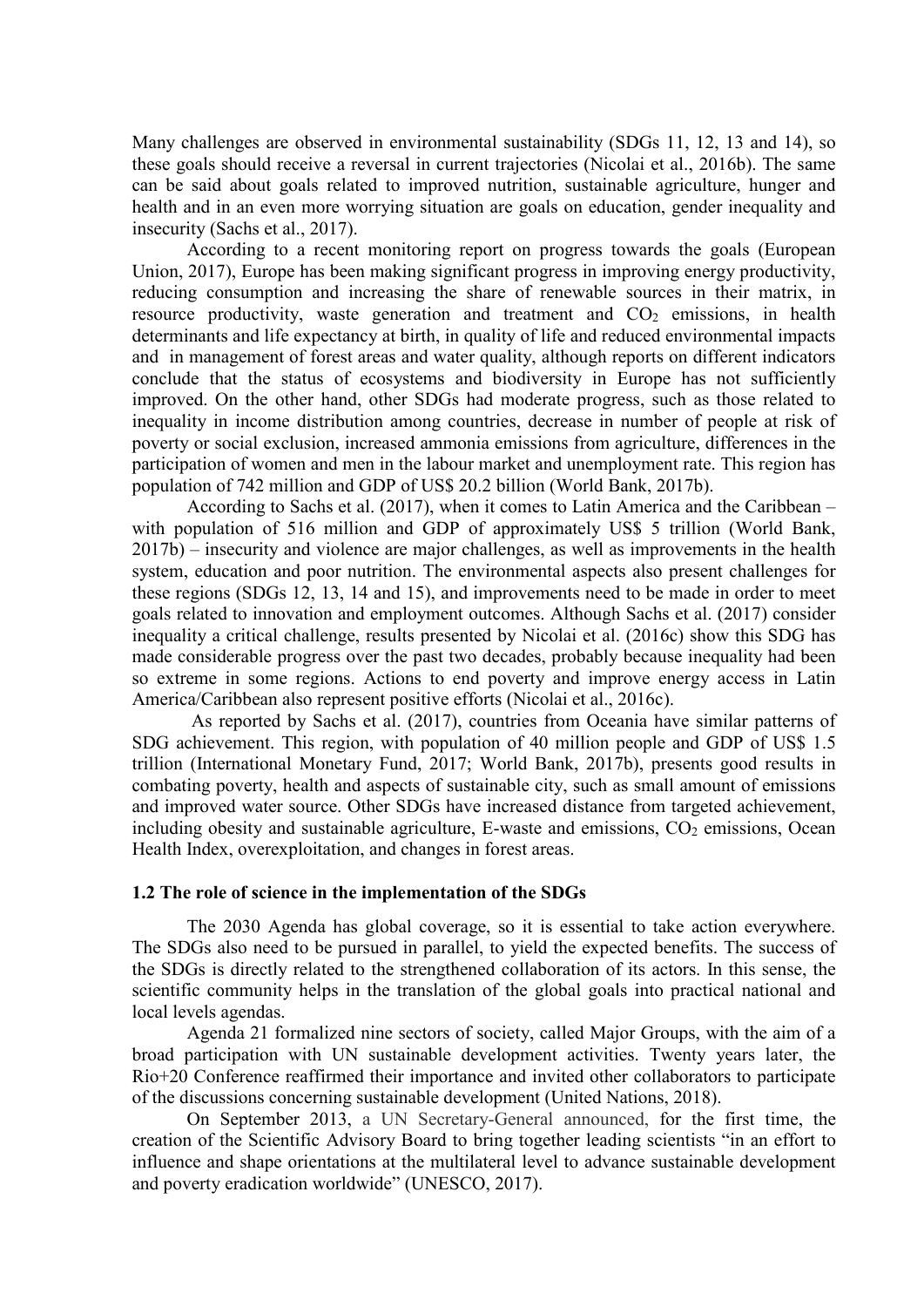Many challenges are observed in environmental sustainability (SDGs 11, 12, 13 and 14), so these goals should receive a reversal in current trajectories (Nicolai et al., 2016b). The same can be said about goals related to improved nutrition, sustainable agriculture, hunger and health and in an even more worrying situation are goals on education, gender inequality and insecurity (Sachs et al., 2017).

According to a recent monitoring report on progress towards the goals (European Union, 2017), Europe has been making significant progress in improving energy productivity, reducing consumption and increasing the share of renewable sources in their matrix, in resource productivity, waste generation and treatment and  $CO<sub>2</sub>$  emissions, in health determinants and life expectancy at birth, in quality of life and reduced environmental impacts and in management of forest areas and water quality, although reports on different indicators conclude that the status of ecosystems and biodiversity in Europe has not sufficiently improved. On the other hand, other SDGs had moderate progress, such as those related to inequality in income distribution among countries, decrease in number of people at risk of poverty or social exclusion, increased ammonia emissions from agriculture, differences in the participation of women and men in the labour market and unemployment rate. This region has population of 742 million and GDP of US\$ 20.2 billion (World Bank, 2017b).

According to Sachs et al. (2017), when it comes to Latin America and the Caribbean – with population of 516 million and GDP of approximately US\$ 5 trillion (World Bank, 2017b) – insecurity and violence are major challenges, as well as improvements in the health system, education and poor nutrition. The environmental aspects also present challenges for these regions (SDGs 12, 13, 14 and 15), and improvements need to be made in order to meet goals related to innovation and employment outcomes. Although Sachs et al. (2017) consider inequality a critical challenge, results presented by Nicolai et al. (2016c) show this SDG has made considerable progress over the past two decades, probably because inequality had been so extreme in some regions. Actions to end poverty and improve energy access in Latin America/Caribbean also represent positive efforts (Nicolai et al., 2016c).

As reported by Sachs et al. (2017), countries from Oceania have similar patterns of SDG achievement. This region, with population of 40 million people and GDP of US\$ 1.5 trillion (International Monetary Fund, 2017; World Bank, 2017b), presents good results in combating poverty, health and aspects of sustainable city, such as small amount of emissions and improved water source. Other SDGs have increased distance from targeted achievement, including obesity and sustainable agriculture, E-waste and emissions,  $CO<sub>2</sub>$  emissions, Ocean Health Index, overexploitation, and changes in forest areas.

#### **1.2 The role of science in the implementation of the SDGs**

The 2030 Agenda has global coverage, so it is essential to take action everywhere. The SDGs also need to be pursued in parallel, to yield the expected benefits. The success of the SDGs is directly related to the strengthened collaboration of its actors. In this sense, the scientific community helps in the translation of the global goals into practical national and local levels agendas.

Agenda 21 formalized nine sectors of society, called Major Groups, with the aim of a broad participation with UN sustainable development activities. Twenty years later, the Rio+20 Conference reaffirmed their importance and invited other collaborators to participate of the discussions concerning sustainable development (United Nations, 2018).

On September 2013, a UN Secretary-General announced, for the first time, the creation of the Scientific Advisory Board to bring together leading scientists "in an effort to influence and shape orientations at the multilateral level to advance sustainable development and poverty eradication worldwide" (UNESCO, 2017).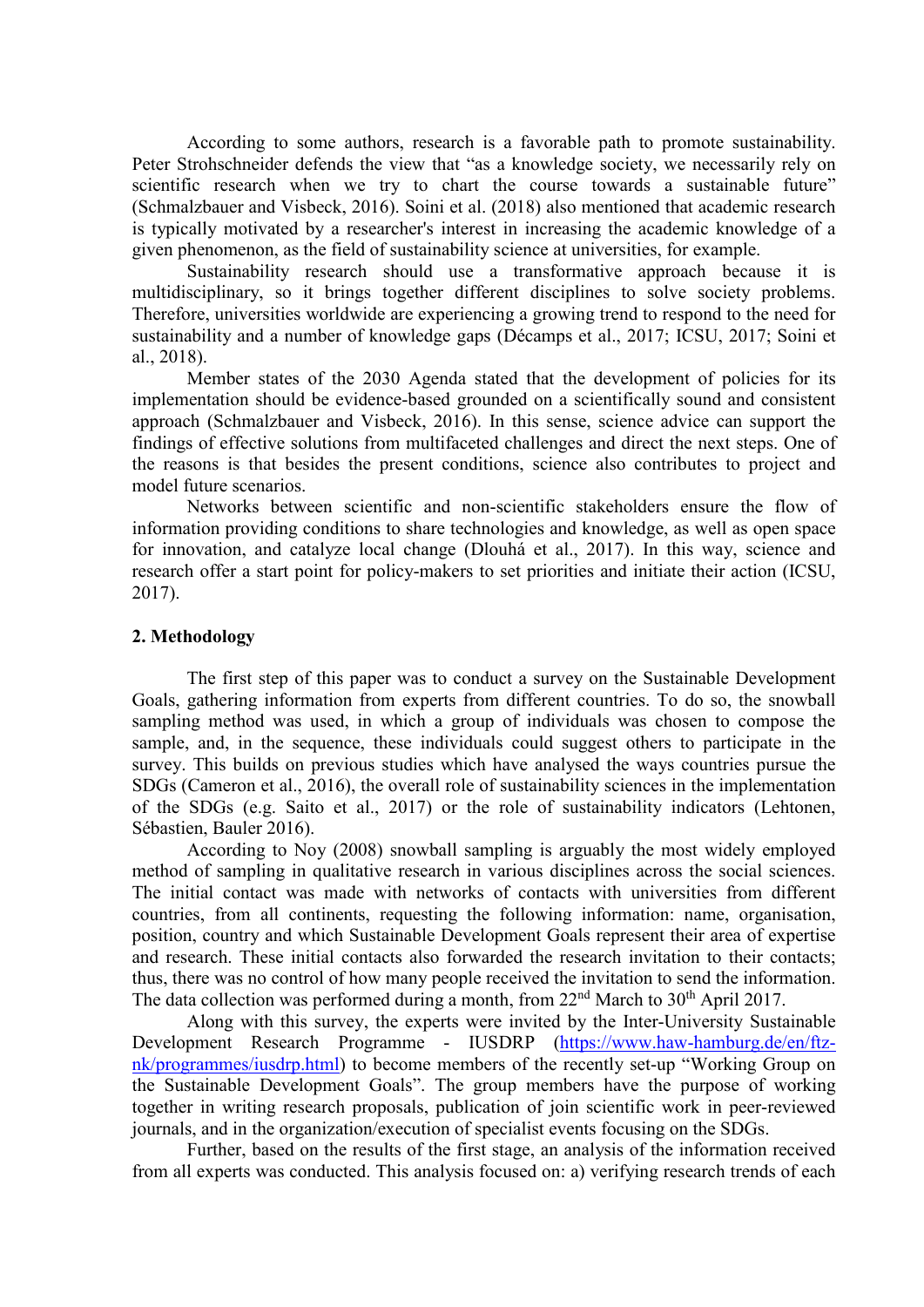According to some authors, research is a favorable path to promote sustainability. Peter Strohschneider defends the view that "as a knowledge society, we necessarily rely on scientific research when we try to chart the course towards a sustainable future" (Schmalzbauer and Visbeck, 2016). Soini et al. (2018) also mentioned that academic research is typically motivated by a researcher's interest in increasing the academic knowledge of a given phenomenon, as the field of sustainability science at universities, for example.

Sustainability research should use a transformative approach because it is multidisciplinary, so it brings together different disciplines to solve society problems. Therefore, universities worldwide are experiencing a growing trend to respond to the need for sustainability and a number of knowledge gaps (Décamps et al., 2017; ICSU, 2017; Soini et al., 2018).

Member states of the 2030 Agenda stated that the development of policies for its implementation should be evidence-based grounded on a scientifically sound and consistent approach (Schmalzbauer and Visbeck, 2016). In this sense, science advice can support the findings of effective solutions from multifaceted challenges and direct the next steps. One of the reasons is that besides the present conditions, science also contributes to project and model future scenarios.

Networks between scientific and non-scientific stakeholders ensure the flow of information providing conditions to share technologies and knowledge, as well as open space for innovation, and catalyze local change (Dlouhá et al., 2017). In this way, science and research offer a start point for policy-makers to set priorities and initiate their action (ICSU, 2017).

## **2. Methodology**

The first step of this paper was to conduct a survey on the Sustainable Development Goals, gathering information from experts from different countries. To do so, the snowball sampling method was used, in which a group of individuals was chosen to compose the sample, and, in the sequence, these individuals could suggest others to participate in the survey. This builds on previous studies which have analysed the ways countries pursue the SDGs (Cameron et al., 2016), the overall role of sustainability sciences in the implementation of the SDGs (e.g. Saito et al., 2017) or the role of sustainability indicators (Lehtonen, Sébastien, Bauler 2016).

According to Noy (2008) snowball sampling is arguably the most widely employed method of sampling in qualitative research in various disciplines across the social sciences. The initial contact was made with networks of contacts with universities from different countries, from all continents, requesting the following information: name, organisation, position, country and which Sustainable Development Goals represent their area of expertise and research. These initial contacts also forwarded the research invitation to their contacts; thus, there was no control of how many people received the invitation to send the information. The data collection was performed during a month, from  $22<sup>nd</sup>$  March to  $30<sup>th</sup>$  April 2017.

Along with this survey, the experts were invited by the Inter-University Sustainable Development Research Programme - IUSDRP [\(https://www.haw-hamburg.de/en/ftz](https://www.haw-hamburg.de/en/ftz-nk/programmes/iusdrp.html)[nk/programmes/iusdrp.html\)](https://www.haw-hamburg.de/en/ftz-nk/programmes/iusdrp.html) to become members of the recently set-up "Working Group on the Sustainable Development Goals". The group members have the purpose of working together in writing research proposals, publication of join scientific work in peer-reviewed journals, and in the organization/execution of specialist events focusing on the SDGs.

Further, based on the results of the first stage, an analysis of the information received from all experts was conducted. This analysis focused on: a) verifying research trends of each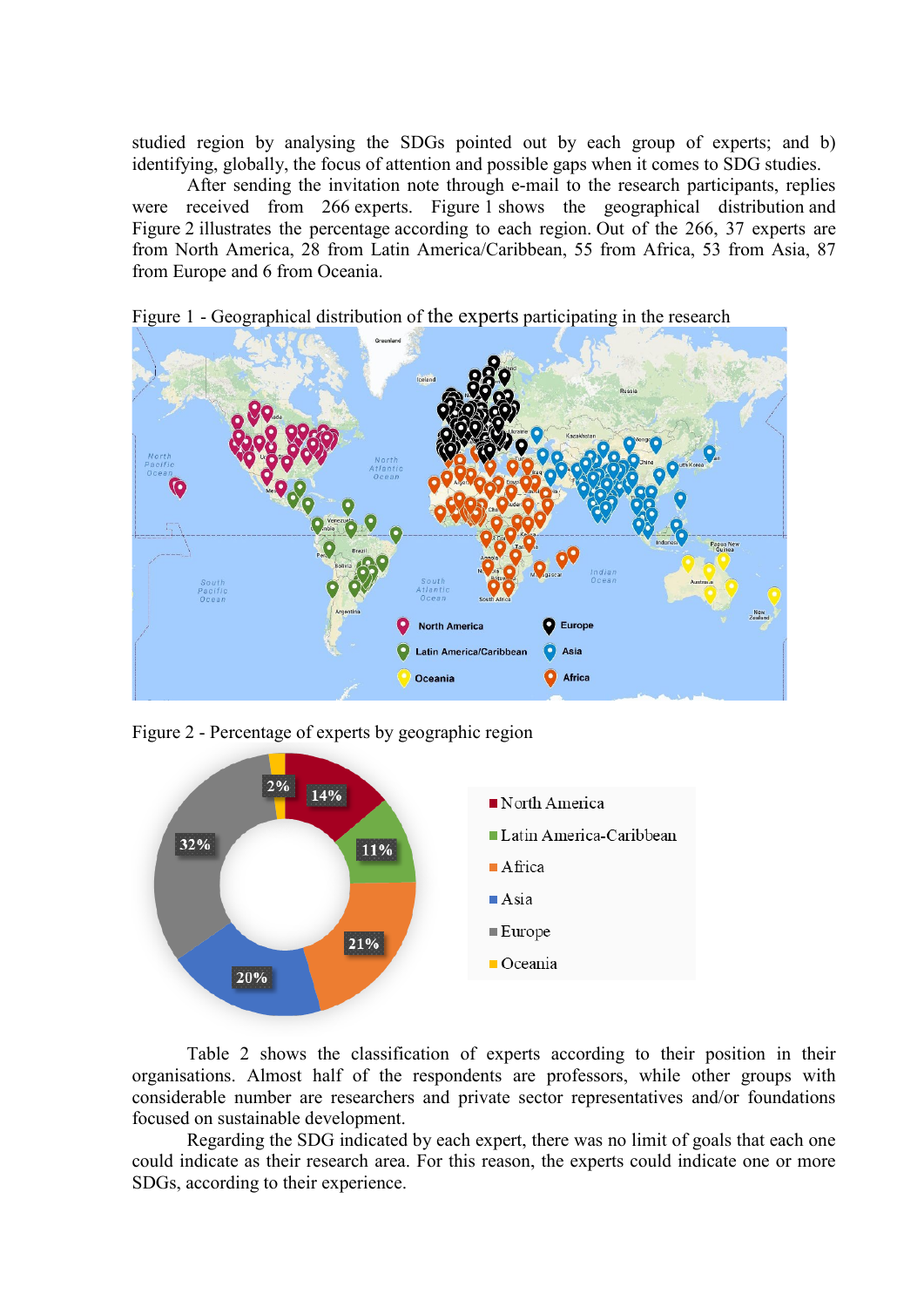studied region by analysing the SDGs pointed out by each group of experts; and b) identifying, globally, the focus of attention and possible gaps when it comes to SDG studies.

After sending the invitation note through e-mail to the research participants, replies were received from 266 experts. Figure 1 shows the geographical distribution and Figure 2 illustrates the percentage according to each region. Out of the 266, 37 experts are from North America, 28 from Latin America/Caribbean, 55 from Africa, 53 from Asia, 87 from Europe and 6 from Oceania.



Figure 1 - Geographical distribution of the experts participating in the research

Figure 2 - Percentage of experts by geographic region



Table 2 shows the classification of experts according to their position in their organisations. Almost half of the respondents are professors, while other groups with considerable number are researchers and private sector representatives and/or foundations focused on sustainable development.

Regarding the SDG indicated by each expert, there was no limit of goals that each one could indicate as their research area. For this reason, the experts could indicate one or more SDGs, according to their experience.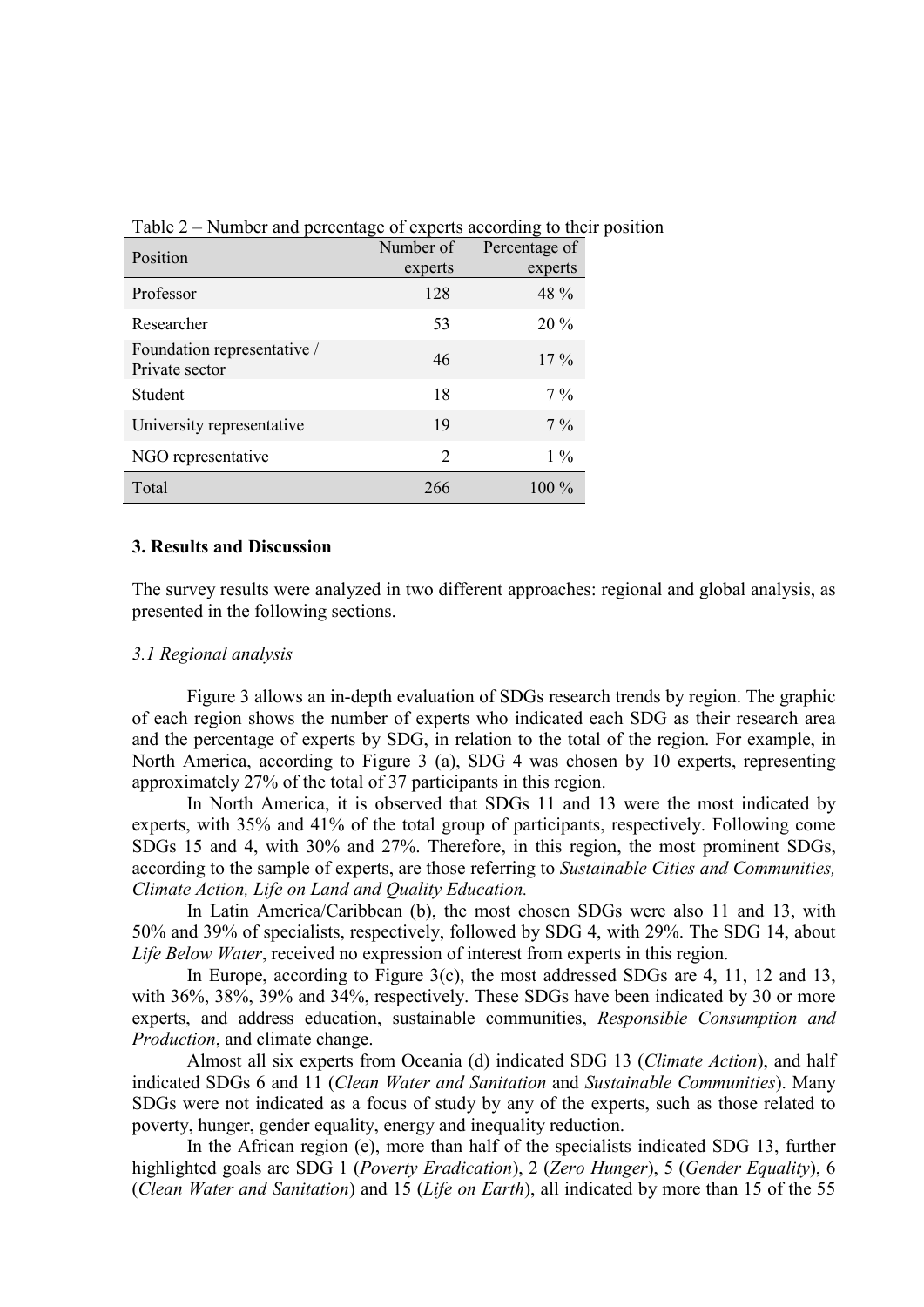| Position                                      | Number of<br>experts | Percentage of<br>experts |
|-----------------------------------------------|----------------------|--------------------------|
| Professor                                     | 128                  | 48 %                     |
| Researcher                                    | 53                   | $20\%$                   |
| Foundation representative /<br>Private sector | 46                   | $17\%$                   |
| Student                                       | 18                   | $7\%$                    |
| University representative                     | 19                   | $7\%$                    |
| NGO representative                            | $\overline{2}$       | $1\%$                    |
| Total                                         | 266                  | $100\%$                  |

Table 2 – Number and percentage of experts according to their position

## **3. Results and Discussion**

The survey results were analyzed in two different approaches: regional and global analysis, as presented in the following sections.

### *3.1 Regional analysis*

Figure 3 allows an in-depth evaluation of SDGs research trends by region. The graphic of each region shows the number of experts who indicated each SDG as their research area and the percentage of experts by SDG, in relation to the total of the region. For example, in North America, according to Figure 3 (a), SDG 4 was chosen by 10 experts, representing approximately 27% of the total of 37 participants in this region.

In North America, it is observed that SDGs 11 and 13 were the most indicated by experts, with 35% and 41% of the total group of participants, respectively. Following come SDGs 15 and 4, with 30% and 27%. Therefore, in this region, the most prominent SDGs, according to the sample of experts, are those referring to *Sustainable Cities and Communities, Climate Action, Life on Land and Quality Education.*

In Latin America/Caribbean (b), the most chosen SDGs were also 11 and 13, with 50% and 39% of specialists, respectively, followed by SDG 4, with 29%. The SDG 14, about *Life Below Water*, received no expression of interest from experts in this region.

In Europe, according to Figure 3(c), the most addressed SDGs are 4, 11, 12 and 13, with 36%, 38%, 39% and 34%, respectively. These SDGs have been indicated by 30 or more experts, and address education, sustainable communities, *Responsible Consumption and Production*, and climate change.

Almost all six experts from Oceania (d) indicated SDG 13 (*Climate Action*), and half indicated SDGs 6 and 11 (*Clean Water and Sanitation* and *Sustainable Communities*). Many SDGs were not indicated as a focus of study by any of the experts, such as those related to poverty, hunger, gender equality, energy and inequality reduction.

In the African region (e), more than half of the specialists indicated SDG 13, further highlighted goals are SDG 1 (*Poverty Eradication*), 2 (*Zero Hunger*), 5 (*Gender Equality*), 6 (*Clean Water and Sanitation*) and 15 (*Life on Earth*), all indicated by more than 15 of the 55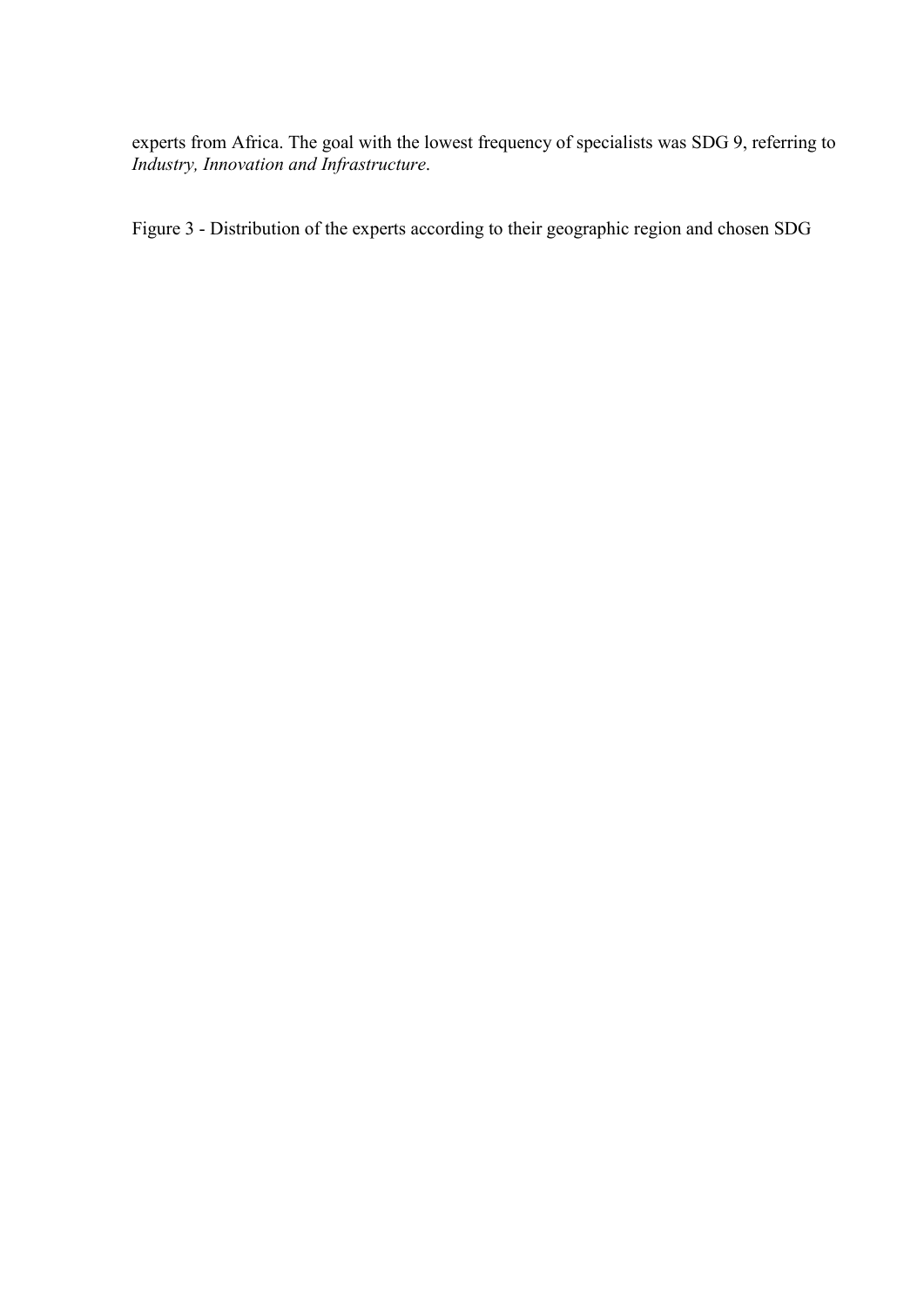experts from Africa. The goal with the lowest frequency of specialists was SDG 9, referring to *Industry, Innovation and Infrastructure*.

Figure 3 - Distribution of the experts according to their geographic region and chosen SDG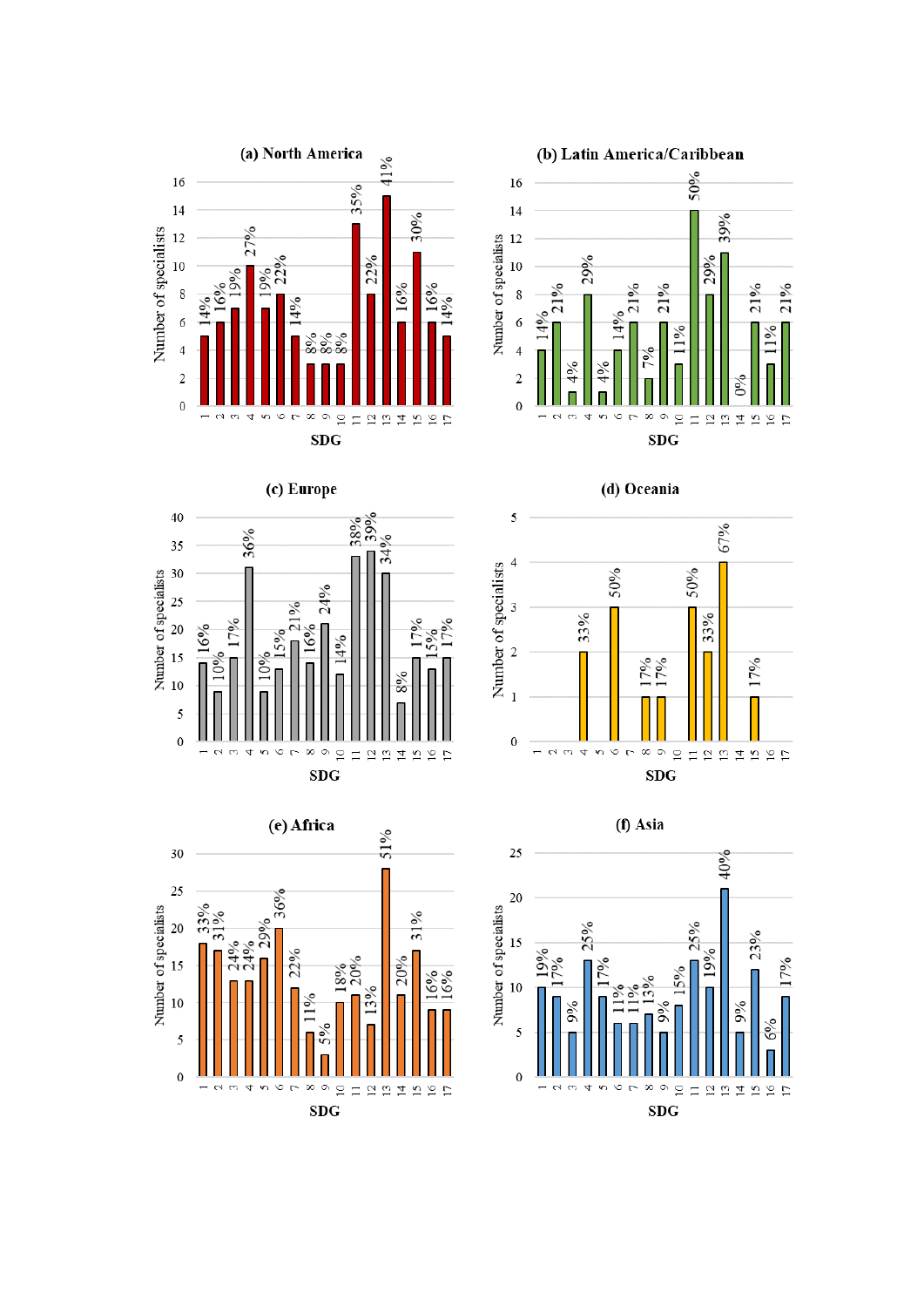







(d) Oceania





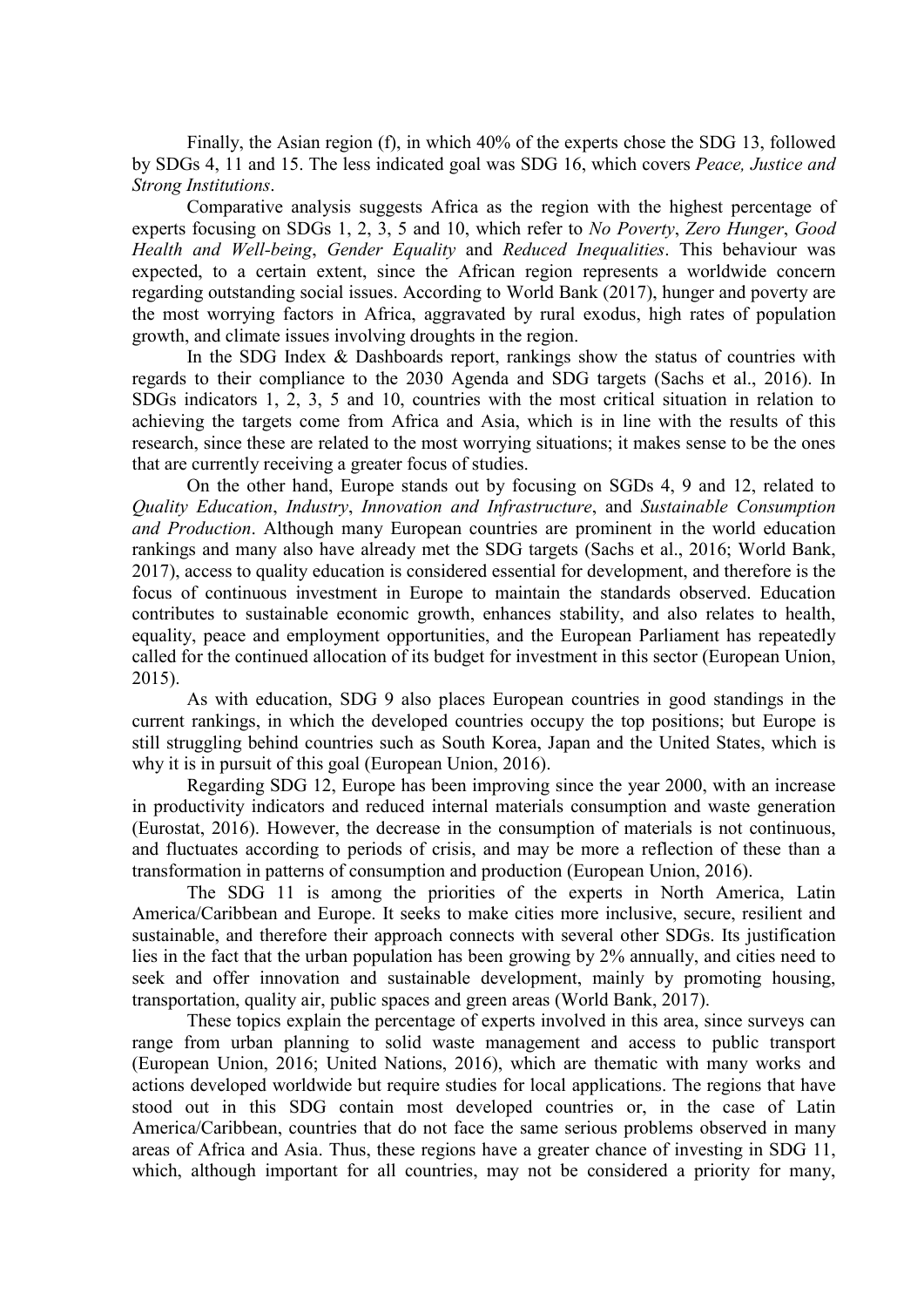Finally, the Asian region (f), in which 40% of the experts chose the SDG 13, followed by SDGs 4, 11 and 15. The less indicated goal was SDG 16, which covers *Peace, Justice and Strong Institutions*.

Comparative analysis suggests Africa as the region with the highest percentage of experts focusing on SDGs 1, 2, 3, 5 and 10, which refer to *No Poverty*, *Zero Hunger*, *Good Health and Well-being*, *Gender Equality* and *Reduced Inequalities*. This behaviour was expected, to a certain extent, since the African region represents a worldwide concern regarding outstanding social issues. According to World Bank (2017), hunger and poverty are the most worrying factors in Africa, aggravated by rural exodus, high rates of population growth, and climate issues involving droughts in the region.

In the SDG Index & Dashboards report, rankings show the status of countries with regards to their compliance to the 2030 Agenda and SDG targets (Sachs et al., 2016). In SDGs indicators 1, 2, 3, 5 and 10, countries with the most critical situation in relation to achieving the targets come from Africa and Asia, which is in line with the results of this research, since these are related to the most worrying situations; it makes sense to be the ones that are currently receiving a greater focus of studies.

On the other hand, Europe stands out by focusing on SGDs 4, 9 and 12, related to *Quality Education*, *Industry*, *Innovation and Infrastructure*, and *Sustainable Consumption and Production*. Although many European countries are prominent in the world education rankings and many also have already met the SDG targets (Sachs et al., 2016; World Bank, 2017), access to quality education is considered essential for development, and therefore is the focus of continuous investment in Europe to maintain the standards observed. Education contributes to sustainable economic growth, enhances stability, and also relates to health, equality, peace and employment opportunities, and the European Parliament has repeatedly called for the continued allocation of its budget for investment in this sector (European Union, 2015).

As with education, SDG 9 also places European countries in good standings in the current rankings, in which the developed countries occupy the top positions; but Europe is still struggling behind countries such as South Korea, Japan and the United States, which is why it is in pursuit of this goal (European Union, 2016).

Regarding SDG 12, Europe has been improving since the year 2000, with an increase in productivity indicators and reduced internal materials consumption and waste generation (Eurostat, 2016). However, the decrease in the consumption of materials is not continuous, and fluctuates according to periods of crisis, and may be more a reflection of these than a transformation in patterns of consumption and production (European Union, 2016).

The SDG 11 is among the priorities of the experts in North America, Latin America/Caribbean and Europe. It seeks to make cities more inclusive, secure, resilient and sustainable, and therefore their approach connects with several other SDGs. Its justification lies in the fact that the urban population has been growing by 2% annually, and cities need to seek and offer innovation and sustainable development, mainly by promoting housing, transportation, quality air, public spaces and green areas (World Bank, 2017).

These topics explain the percentage of experts involved in this area, since surveys can range from urban planning to solid waste management and access to public transport (European Union, 2016; United Nations, 2016), which are thematic with many works and actions developed worldwide but require studies for local applications. The regions that have stood out in this SDG contain most developed countries or, in the case of Latin America/Caribbean, countries that do not face the same serious problems observed in many areas of Africa and Asia. Thus, these regions have a greater chance of investing in SDG 11, which, although important for all countries, may not be considered a priority for many,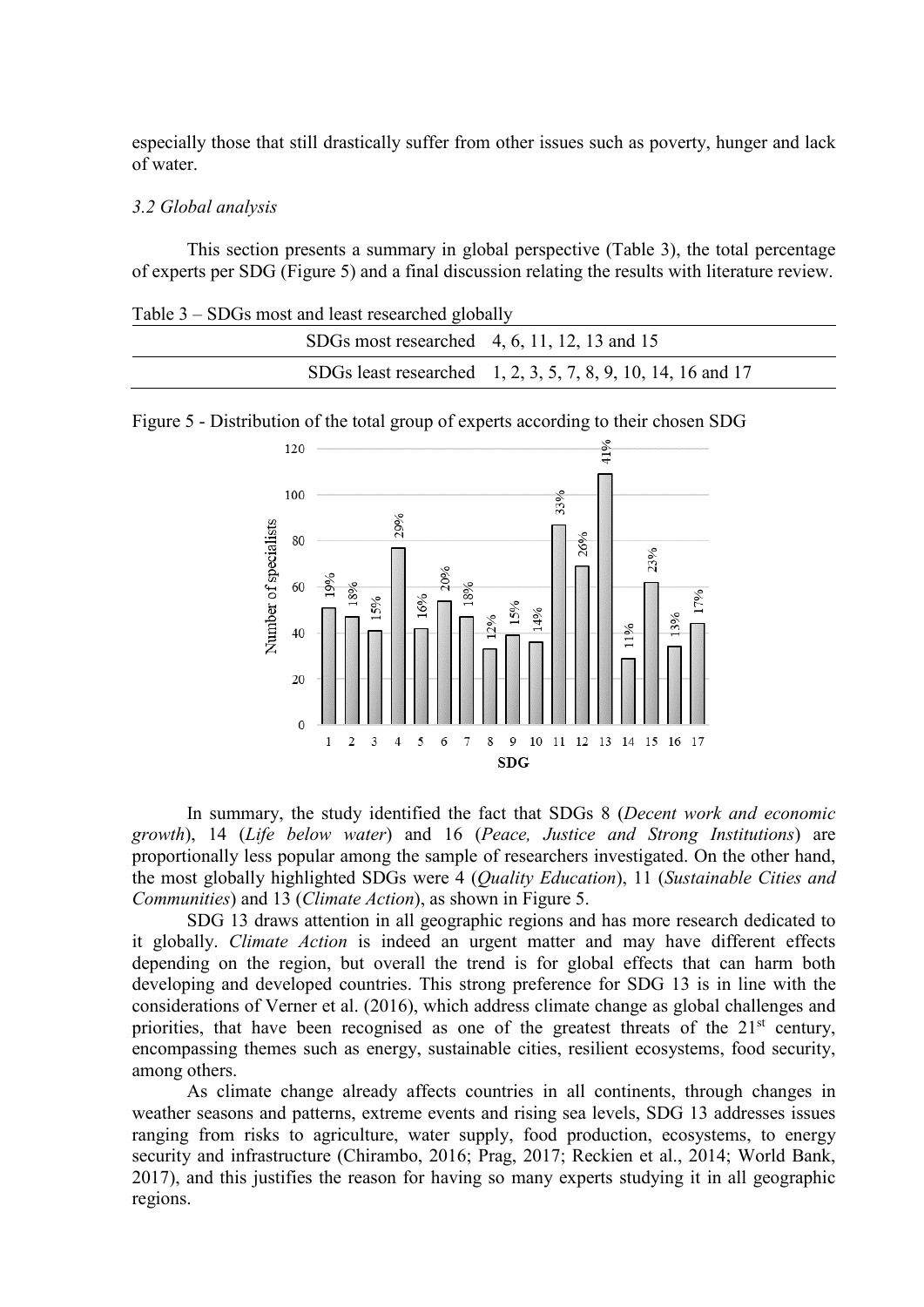especially those that still drastically suffer from other issues such as poverty, hunger and lack of water.

#### *3.2 Global analysis*

This section presents a summary in global perspective (Table 3), the total percentage of experts per SDG (Figure 5) and a final discussion relating the results with literature review.

| Table 3 – SDGs most and least researched globally |  |  |
|---------------------------------------------------|--|--|
|---------------------------------------------------|--|--|

| SDGs most researched $4, 6, 11, 12, 13$ and 15 |                                                              |
|------------------------------------------------|--------------------------------------------------------------|
|                                                | SDGs least researched 1, 2, 3, 5, 7, 8, 9, 10, 14, 16 and 17 |

Figure 5 - Distribution of the total group of experts according to their chosen SDG



In summary, the study identified the fact that SDGs 8 (*Decent work and economic growth*), 14 (*Life below water*) and 16 (*Peace, Justice and Strong Institutions*) are proportionally less popular among the sample of researchers investigated. On the other hand, the most globally highlighted SDGs were 4 (*Quality Education*), 11 (*Sustainable Cities and Communities*) and 13 (*Climate Action*), as shown in Figure 5.

SDG 13 draws attention in all geographic regions and has more research dedicated to it globally. *Climate Action* is indeed an urgent matter and may have different effects depending on the region, but overall the trend is for global effects that can harm both developing and developed countries. This strong preference for SDG 13 is in line with the considerations of Verner et al. (2016), which address climate change as global challenges and priorities, that have been recognised as one of the greatest threats of the  $21<sup>st</sup>$  century, encompassing themes such as energy, sustainable cities, resilient ecosystems, food security, among others.

As climate change already affects countries in all continents, through changes in weather seasons and patterns, extreme events and rising sea levels, SDG 13 addresses issues ranging from risks to agriculture, water supply, food production, ecosystems, to energy security and infrastructure (Chirambo, 2016; Prag, 2017; Reckien et al., 2014; World Bank, 2017), and this justifies the reason for having so many experts studying it in all geographic regions.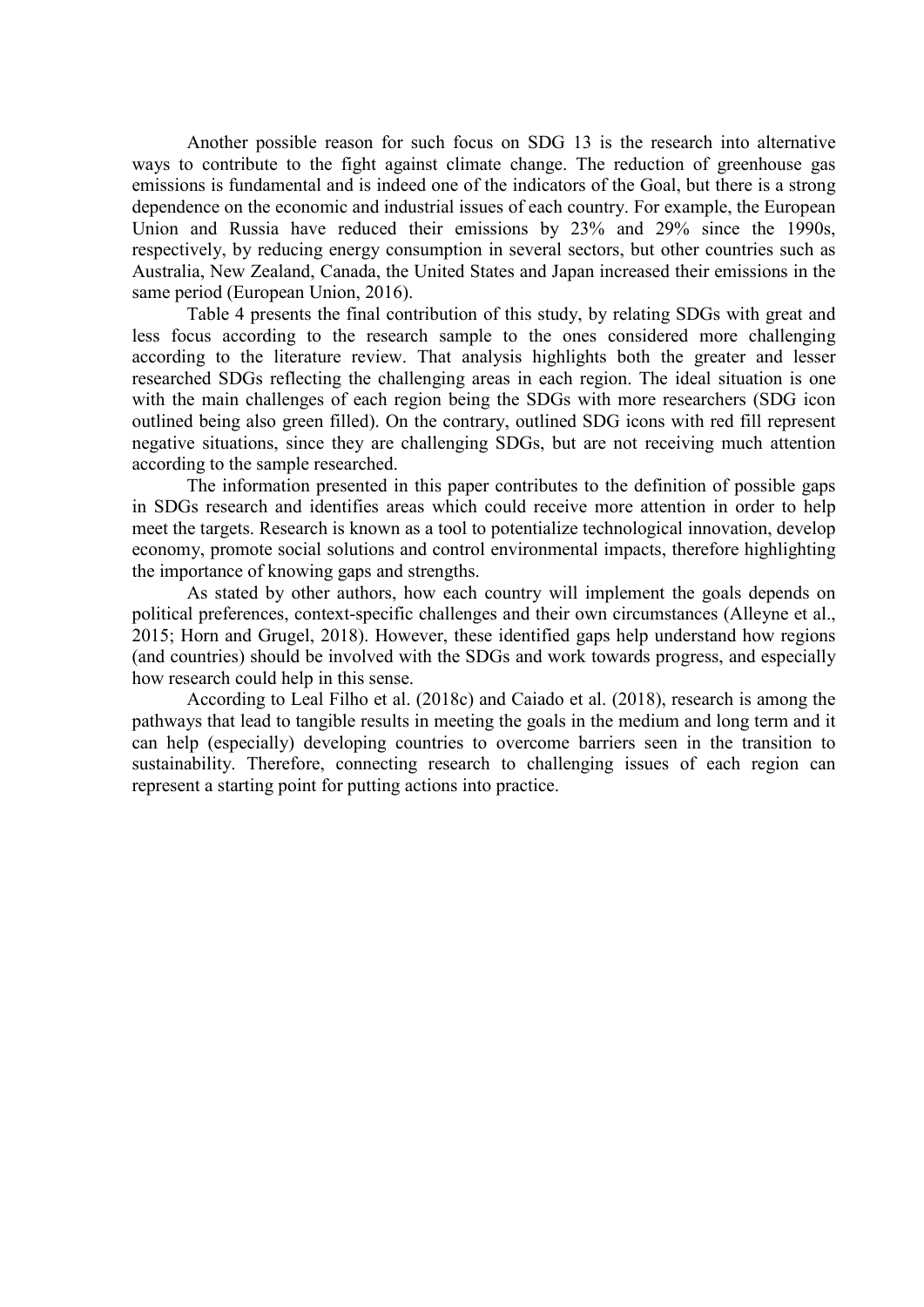Another possible reason for such focus on SDG 13 is the research into alternative ways to contribute to the fight against climate change. The reduction of greenhouse gas emissions is fundamental and is indeed one of the indicators of the Goal, but there is a strong dependence on the economic and industrial issues of each country. For example, the European Union and Russia have reduced their emissions by 23% and 29% since the 1990s, respectively, by reducing energy consumption in several sectors, but other countries such as Australia, New Zealand, Canada, the United States and Japan increased their emissions in the same period (European Union, 2016).

Table 4 presents the final contribution of this study, by relating SDGs with great and less focus according to the research sample to the ones considered more challenging according to the literature review. That analysis highlights both the greater and lesser researched SDGs reflecting the challenging areas in each region. The ideal situation is one with the main challenges of each region being the SDGs with more researchers (SDG icon outlined being also green filled). On the contrary, outlined SDG icons with red fill represent negative situations, since they are challenging SDGs, but are not receiving much attention according to the sample researched.

The information presented in this paper contributes to the definition of possible gaps in SDGs research and identifies areas which could receive more attention in order to help meet the targets. Research is known as a tool to potentialize technological innovation, develop economy, promote social solutions and control environmental impacts, therefore highlighting the importance of knowing gaps and strengths.

As stated by other authors, how each country will implement the goals depends on political preferences, context-specific challenges and their own circumstances (Alleyne et al., 2015; Horn and Grugel, 2018). However, these identified gaps help understand how regions (and countries) should be involved with the SDGs and work towards progress, and especially how research could help in this sense.

According to Leal Filho et al. (2018c) and Caiado et al. (2018), research is among the pathways that lead to tangible results in meeting the goals in the medium and long term and it can help (especially) developing countries to overcome barriers seen in the transition to sustainability. Therefore, connecting research to challenging issues of each region can represent a starting point for putting actions into practice.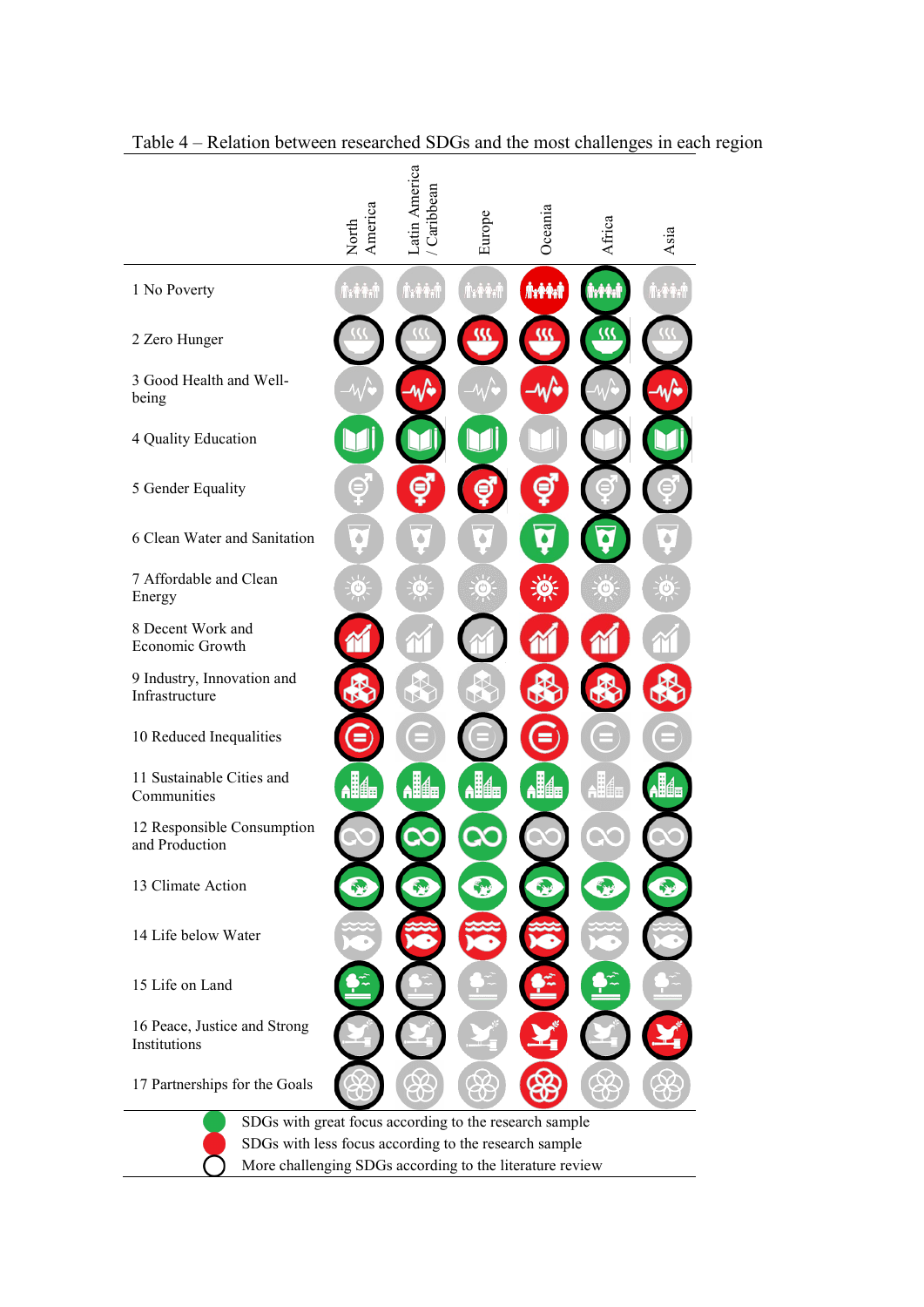|                                              | North<br>America | Latin America<br>Caribbean | Europe         | Oceania       | Africa  | Asia        |
|----------------------------------------------|------------------|----------------------------|----------------|---------------|---------|-------------|
| 1 No Poverty                                 | ÑŶŶſ             | Ñ.ÀŶï                      | <b>İnfirit</b> | <b>Arff</b> i |         | <b>Arti</b> |
| 2 Zero Hunger                                |                  |                            |                |               |         |             |
| 3 Good Health and Well-<br>being             |                  |                            |                |               |         |             |
| 4 Quality Education                          |                  |                            |                |               |         |             |
| 5 Gender Equality                            |                  |                            |                |               |         |             |
| 6 Clean Water and Sanitation                 | ۵                | ۵                          | ۵              |               |         | ۵           |
| 7 Affordable and Clean<br>Energy             | Ö                | FÇ.                        | Ò              | <u>-O</u>     | $\circ$ | <u>io</u>   |
| 8 Decent Work and<br>Economic Growth         |                  |                            |                |               |         |             |
| 9 Industry, Innovation and<br>Infrastructure |                  |                            |                |               |         |             |
| 10 Reduced Inequalities                      |                  |                            |                |               |         |             |
| 11 Sustainable Cities and<br>Communities     | <b>Sept.</b>     | <b>A∰∰⊟</b>                | <b>Alla</b>    | $\mathbf{A}$  |         |             |
| 12 Responsible Consumption<br>and Production |                  |                            |                |               |         |             |
| 13 Climate Action                            |                  |                            |                |               |         |             |
| 14 Life below Water                          |                  |                            |                |               |         |             |
| 15 Life on Land                              |                  |                            |                |               |         |             |
| 16 Peace, Justice and Strong<br>Institutions |                  |                            |                |               |         |             |
| 17 Partnerships for the Goals                |                  |                            |                |               |         |             |

Table 4 – Relation between researched SDGs and the most challenges in each region

SDGs with great focus according to the research sample SDGs with less focus according to the research sample More challenging SDGs according to the literature review

 $\bigcap$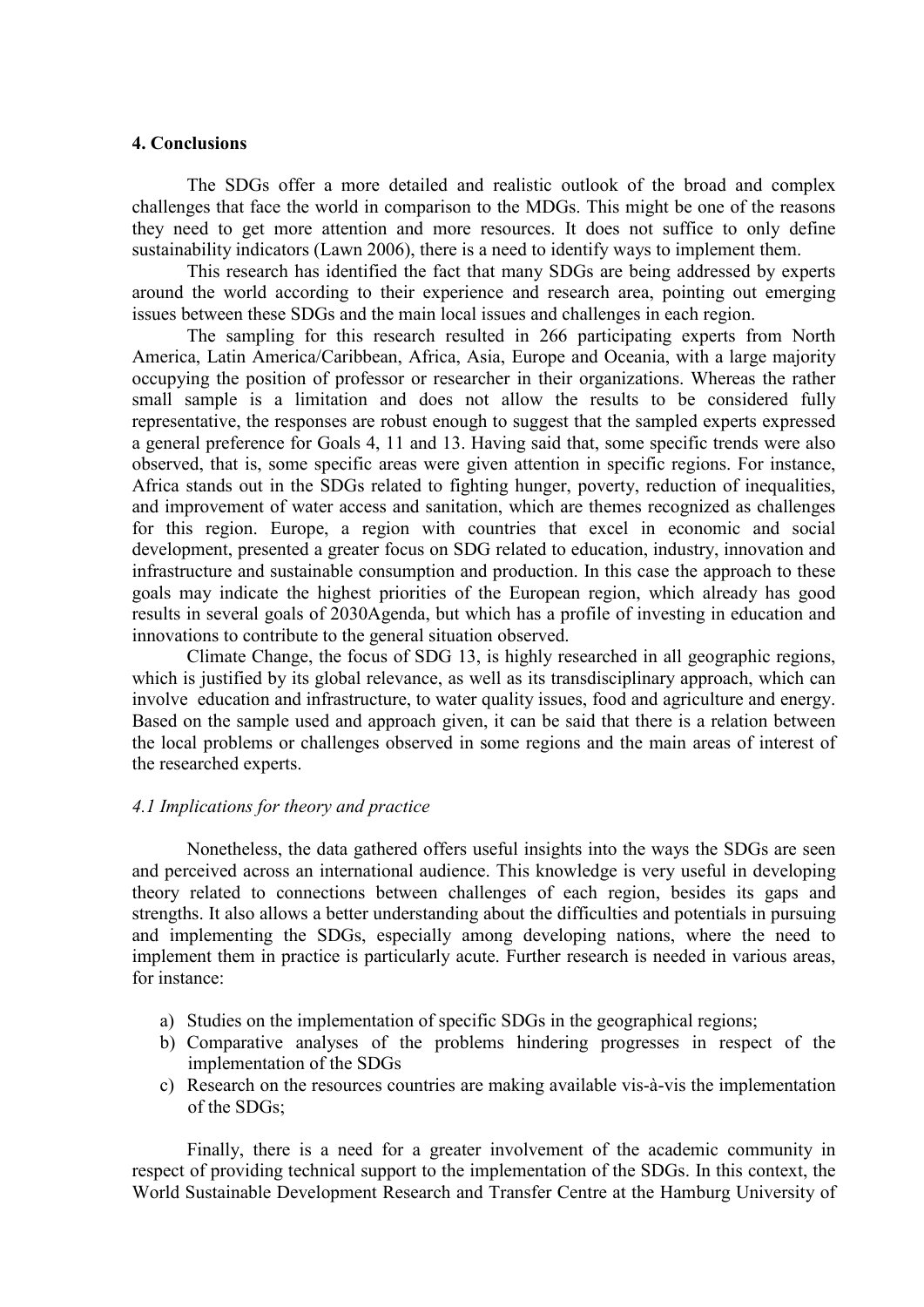#### **4. Conclusions**

The SDGs offer a more detailed and realistic outlook of the broad and complex challenges that face the world in comparison to the MDGs. This might be one of the reasons they need to get more attention and more resources. It does not suffice to only define sustainability indicators (Lawn 2006), there is a need to identify ways to implement them.

This research has identified the fact that many SDGs are being addressed by experts around the world according to their experience and research area, pointing out emerging issues between these SDGs and the main local issues and challenges in each region.

The sampling for this research resulted in 266 participating experts from North America, Latin America/Caribbean, Africa, Asia, Europe and Oceania, with a large majority occupying the position of professor or researcher in their organizations. Whereas the rather small sample is a limitation and does not allow the results to be considered fully representative, the responses are robust enough to suggest that the sampled experts expressed a general preference for Goals 4, 11 and 13. Having said that, some specific trends were also observed, that is, some specific areas were given attention in specific regions. For instance, Africa stands out in the SDGs related to fighting hunger, poverty, reduction of inequalities, and improvement of water access and sanitation, which are themes recognized as challenges for this region. Europe, a region with countries that excel in economic and social development, presented a greater focus on SDG related to education, industry, innovation and infrastructure and sustainable consumption and production. In this case the approach to these goals may indicate the highest priorities of the European region, which already has good results in several goals of 2030Agenda, but which has a profile of investing in education and innovations to contribute to the general situation observed.

Climate Change, the focus of SDG 13, is highly researched in all geographic regions, which is justified by its global relevance, as well as its transdisciplinary approach, which can involve education and infrastructure, to water quality issues, food and agriculture and energy. Based on the sample used and approach given, it can be said that there is a relation between the local problems or challenges observed in some regions and the main areas of interest of the researched experts.

#### *4.1 Implications for theory and practice*

Nonetheless, the data gathered offers useful insights into the ways the SDGs are seen and perceived across an international audience. This knowledge is very useful in developing theory related to connections between challenges of each region, besides its gaps and strengths. It also allows a better understanding about the difficulties and potentials in pursuing and implementing the SDGs, especially among developing nations, where the need to implement them in practice is particularly acute. Further research is needed in various areas, for instance:

- a) Studies on the implementation of specific SDGs in the geographical regions;
- b) Comparative analyses of the problems hindering progresses in respect of the implementation of the SDGs
- c) Research on the resources countries are making available vis-à-vis the implementation of the SDGs;

Finally, there is a need for a greater involvement of the academic community in respect of providing technical support to the implementation of the SDGs. In this context, the World Sustainable Development Research and Transfer Centre at the Hamburg University of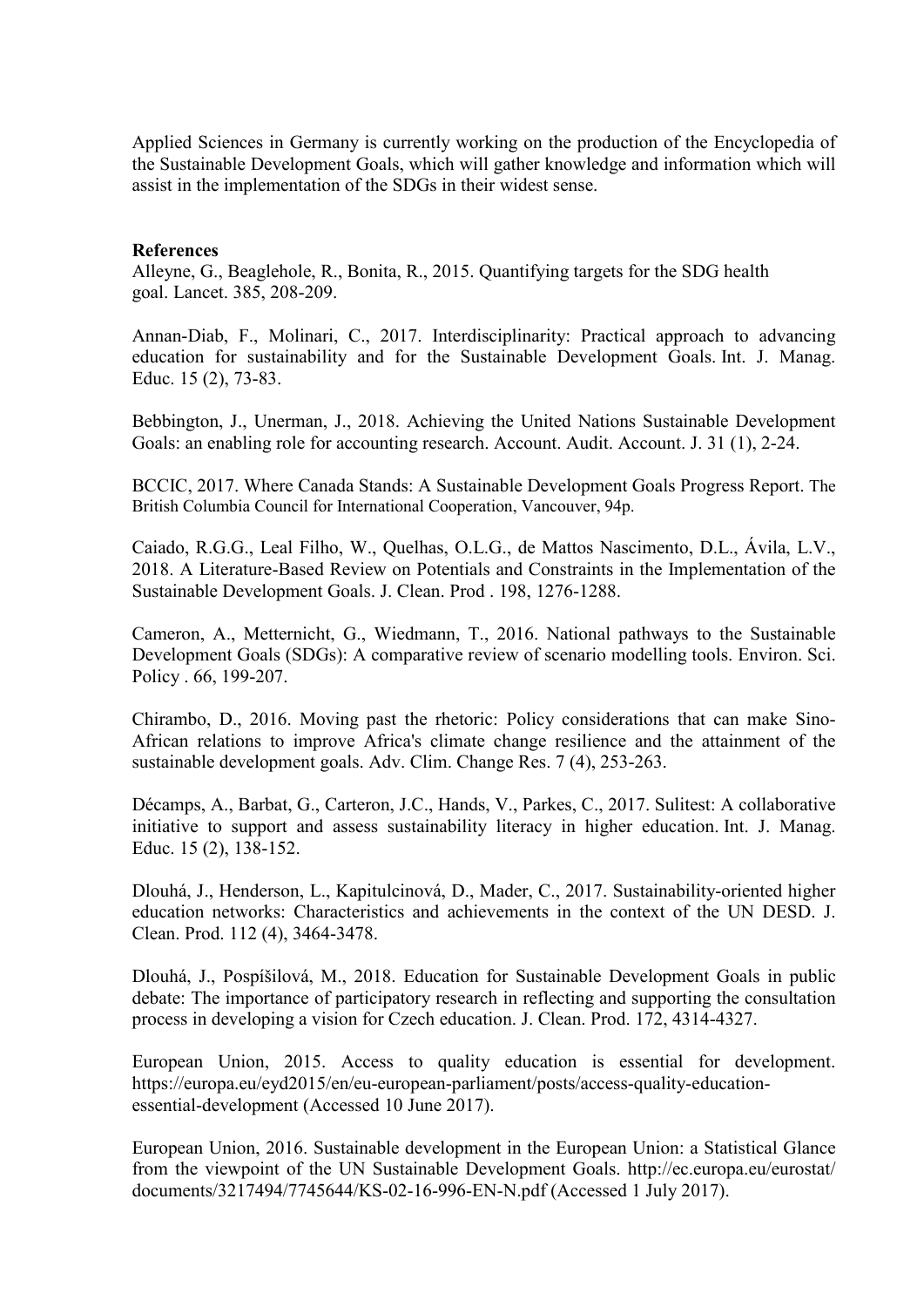Applied Sciences in Germany is currently working on the production of the Encyclopedia of the Sustainable Development Goals, which will gather knowledge and information which will assist in the implementation of the SDGs in their widest sense.

## **References**

Alleyne, G., Beaglehole, R., Bonita, R., 2015. Quantifying targets for the SDG health goal. Lancet. 385, 208-209.

Annan-Diab, F., Molinari, C., 2017. Interdisciplinarity: Practical approach to advancing education for sustainability and for the Sustainable Development Goals. Int. J. Manag. Educ. 15 (2), 73-83.

Bebbington, J., Unerman, J., 2018. Achieving the United Nations Sustainable Development Goals: an enabling role for accounting research. Account. Audit. Account. J. 31 (1), 2-24.

BCCIC, 2017. Where Canada Stands: A Sustainable Development Goals Progress Report. The British Columbia Council for International Cooperation, Vancouver, 94p.

Caiado, R.G.G., Leal Filho, W., Quelhas, O.L.G., de Mattos Nascimento, D.L., Ávila, L.V., 2018. A Literature-Based Review on Potentials and Constraints in the Implementation of the Sustainable Development Goals. J. Clean. Prod . 198, 1276-1288.

Cameron, A., Metternicht, G., Wiedmann, T., 2016. National pathways to the Sustainable Development Goals (SDGs): A comparative review of scenario modelling tools. Environ. Sci. Policy . 66, 199-207.

Chirambo, D., 2016. Moving past the rhetoric: Policy considerations that can make Sino-African relations to improve Africa's climate change resilience and the attainment of the sustainable development goals. Adv. Clim. Change Res. 7 (4), 253-263.

Décamps, A., Barbat, G., Carteron, J.C., Hands, V., Parkes, C., 2017. Sulitest: A collaborative initiative to support and assess sustainability literacy in higher education. Int. J. Manag. Educ. 15 (2), 138-152.

Dlouhá, J., Henderson, L., Kapitulcinová, D., Mader, C., 2017. Sustainability-oriented higher education networks: Characteristics and achievements in the context of the UN DESD. J. Clean. Prod. 112 (4), 3464-3478.

Dlouhá, J., Pospíšilová, M., 2018. Education for Sustainable Development Goals in public debate: The importance of participatory research in reflecting and supporting the consultation process in developing a vision for Czech education. J. Clean. Prod. 172, 4314-4327.

European Union, 2015. Access to quality education is essential for development. https://europa.eu/eyd2015/en/eu-european-parliament/posts/access-quality-educationessential-development (Accessed 10 June 2017).

European Union, 2016. Sustainable development in the European Union: a Statistical Glance from the viewpoint of the UN Sustainable Development Goals. http://ec.europa.eu/eurostat/ documents/3217494/7745644/KS-02-16-996-EN-N.pdf (Accessed 1 July 2017).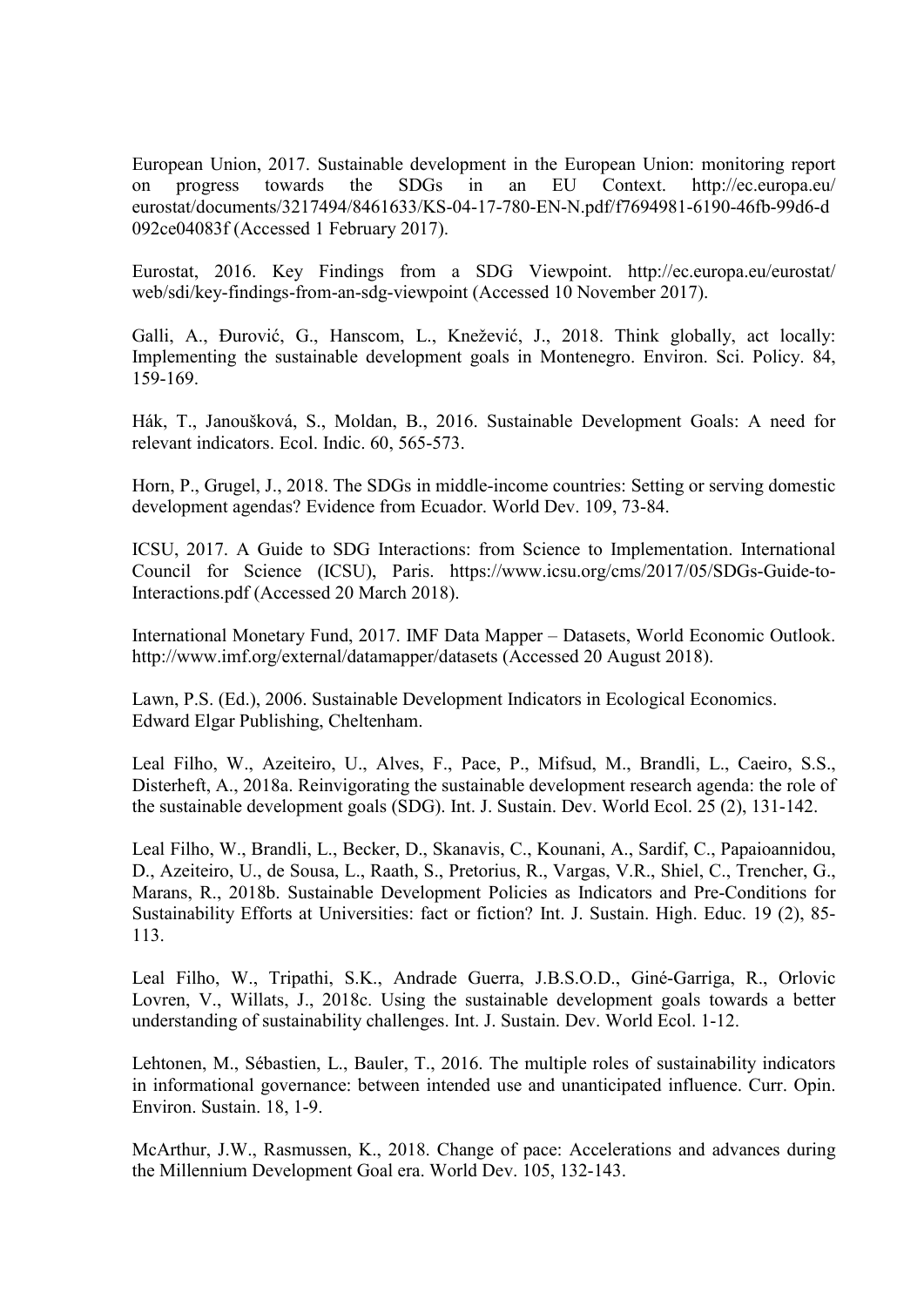European Union, 2017. Sustainable development in the European Union: monitoring report on progress towards the SDGs in an EU Context. http://ec.europa.eu/ eurostat/documents/3217494/8461633/KS-04-17-780-EN-N.pdf/f7694981-6190-46fb-99d6-d 092ce04083f (Accessed 1 February 2017).

Eurostat, 2016. Key Findings from a SDG Viewpoint. http://ec.europa.eu/eurostat/ web/sdi/key-findings-from-an-sdg-viewpoint (Accessed 10 November 2017).

Galli, A., Đurović, G., Hanscom, L., Knežević, J., 2018. Think globally, act locally: Implementing the sustainable development goals in Montenegro. Environ. Sci. Policy. 84, 159-169.

Hák, T., Janoušková, S., Moldan, B., 2016. Sustainable Development Goals: A need for relevant indicators. Ecol. Indic. 60, 565-573.

Horn, P., Grugel, J., 2018. The SDGs in middle-income countries: Setting or serving domestic development agendas? Evidence from Ecuador. World Dev. 109, 73-84.

ICSU, 2017. A Guide to SDG Interactions: from Science to Implementation. International Council for Science (ICSU), Paris. https://www.icsu.org/cms/2017/05/SDGs-Guide-to-Interactions.pdf (Accessed 20 March 2018).

International Monetary Fund, 2017. IMF Data Mapper – Datasets, World Economic Outlook. http://www.imf.org/external/datamapper/datasets (Accessed 20 August 2018).

Lawn, P.S. (Ed.), 2006. Sustainable Development Indicators in Ecological Economics. Edward Elgar Publishing, Cheltenham.

Leal Filho, W., Azeiteiro, U., Alves, F., Pace, P., Mifsud, M., Brandli, L., Caeiro, S.S., Disterheft, A., 2018a. Reinvigorating the sustainable development research agenda: the role of the sustainable development goals (SDG). Int. J. Sustain. Dev. World Ecol. 25 (2), 131-142.

Leal Filho, W., Brandli, L., Becker, D., Skanavis, C., Kounani, A., Sardif, C., Papaioannidou, D., Azeiteiro, U., de Sousa, L., Raath, S., Pretorius, R., Vargas, V.R., Shiel, C., Trencher, G., Marans, R., 2018b. Sustainable Development Policies as Indicators and Pre-Conditions for Sustainability Efforts at Universities: fact or fiction? Int. J. Sustain. High. Educ. 19 (2), 85- 113.

Leal Filho, W., Tripathi, S.K., Andrade Guerra, J.B.S.O.D., Giné-Garriga, R., Orlovic Lovren, V., Willats, J., 2018c. Using the sustainable development goals towards a better understanding of sustainability challenges. Int. J. Sustain. Dev. World Ecol. 1-12.

Lehtonen, M., Sébastien, L., Bauler, T., 2016. The multiple roles of sustainability indicators in informational governance: between intended use and unanticipated influence. Curr. Opin. Environ. Sustain. 18, 1-9.

McArthur, J.W., Rasmussen, K., 2018. Change of pace: Accelerations and advances during the Millennium Development Goal era. World Dev. 105, 132-143.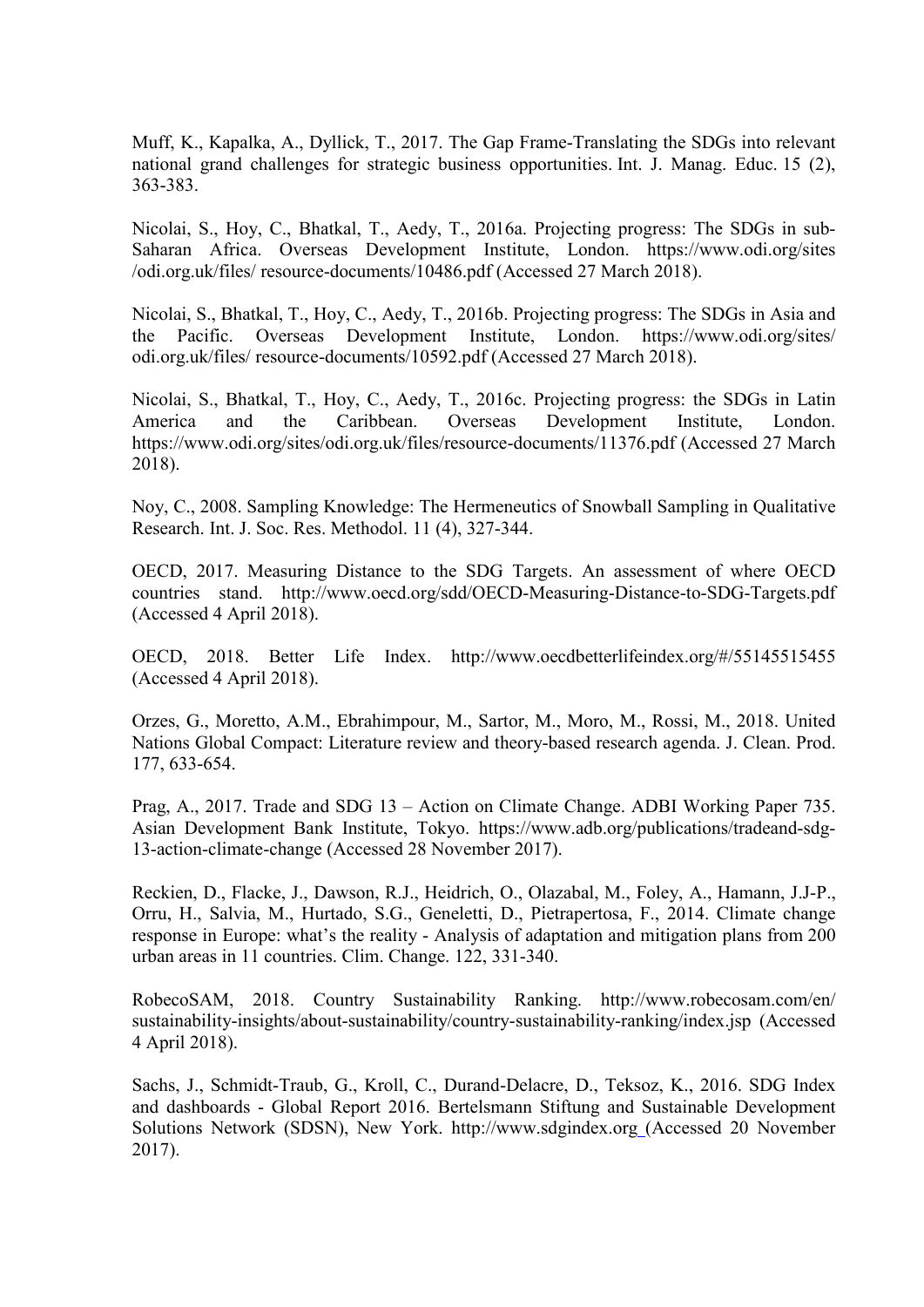Muff, K., Kapalka, A., Dyllick, T., 2017. The Gap Frame-Translating the SDGs into relevant national grand challenges for strategic business opportunities. Int. J. Manag. Educ. 15 (2), 363-383.

Nicolai, S., Hoy, C., Bhatkal, T., Aedy, T., 2016a. Projecting progress: The SDGs in sub-Saharan Africa. Overseas Development Institute, London. https://www.odi.org/sites /odi.org.uk/files/ resource-documents/10486.pdf (Accessed 27 March 2018).

Nicolai, S., Bhatkal, T., Hoy, C., Aedy, T., 2016b. Projecting progress: The SDGs in Asia and the Pacific. Overseas Development Institute, London. https://www.odi.org/sites/ odi.org.uk/files/ resource-documents/10592.pdf (Accessed 27 March 2018).

Nicolai, S., Bhatkal, T., Hoy, C., Aedy, T., 2016c. Projecting progress: the SDGs in Latin America and the Caribbean. Overseas Development Institute, London. https://www.odi.org/sites/odi.org.uk/files/resource-documents/11376.pdf (Accessed 27 March 2018).

Noy, C., 2008. Sampling Knowledge: The Hermeneutics of Snowball Sampling in Qualitative Research. Int. J. Soc. Res. Methodol. 11 (4), 327-344.

OECD, 2017. Measuring Distance to the SDG Targets. An assessment of where OECD countries stand. http://www.oecd.org/sdd/OECD-Measuring-Distance-to-SDG-Targets.pdf (Accessed 4 April 2018).

OECD, 2018. Better Life Index. http://www.oecdbetterlifeindex.org/#/55145515455 (Accessed 4 April 2018).

Orzes, G., Moretto, A.M., Ebrahimpour, M., Sartor, M., Moro, M., Rossi, M., 2018. United Nations Global Compact: Literature review and theory-based research agenda. J. Clean. Prod. 177, 633-654.

Prag, A., 2017. Trade and SDG 13 – Action on Climate Change. ADBI Working Paper 735. Asian Development Bank Institute, Tokyo. https://www.adb.org/publications/tradeand-sdg-13-action-climate-change (Accessed 28 November 2017).

Reckien, D., Flacke, J., Dawson, R.J., Heidrich, O., Olazabal, M., Foley, A., Hamann, J.J-P., Orru, H., Salvia, M., Hurtado, S.G., Geneletti, D., Pietrapertosa, F., 2014. Climate change response in Europe: what's the reality - Analysis of adaptation and mitigation plans from 200 urban areas in 11 countries. Clim. Change. 122, 331-340.

RobecoSAM, 2018. Country Sustainability Ranking. http://www.robecosam.com/en/ sustainability-insights/about-sustainability/country-sustainability-ranking/index.jsp (Accessed 4 April 2018).

Sachs, J., Schmidt-Traub, G., Kroll, C., Durand-Delacre, D., Teksoz, K., 2016. SDG Index and dashboards - Global Report 2016. Bertelsmann Stiftung and Sustainable Development Solutions Network (SDSN), New York. http://www.sdgindex.org (Accessed 20 November 2017).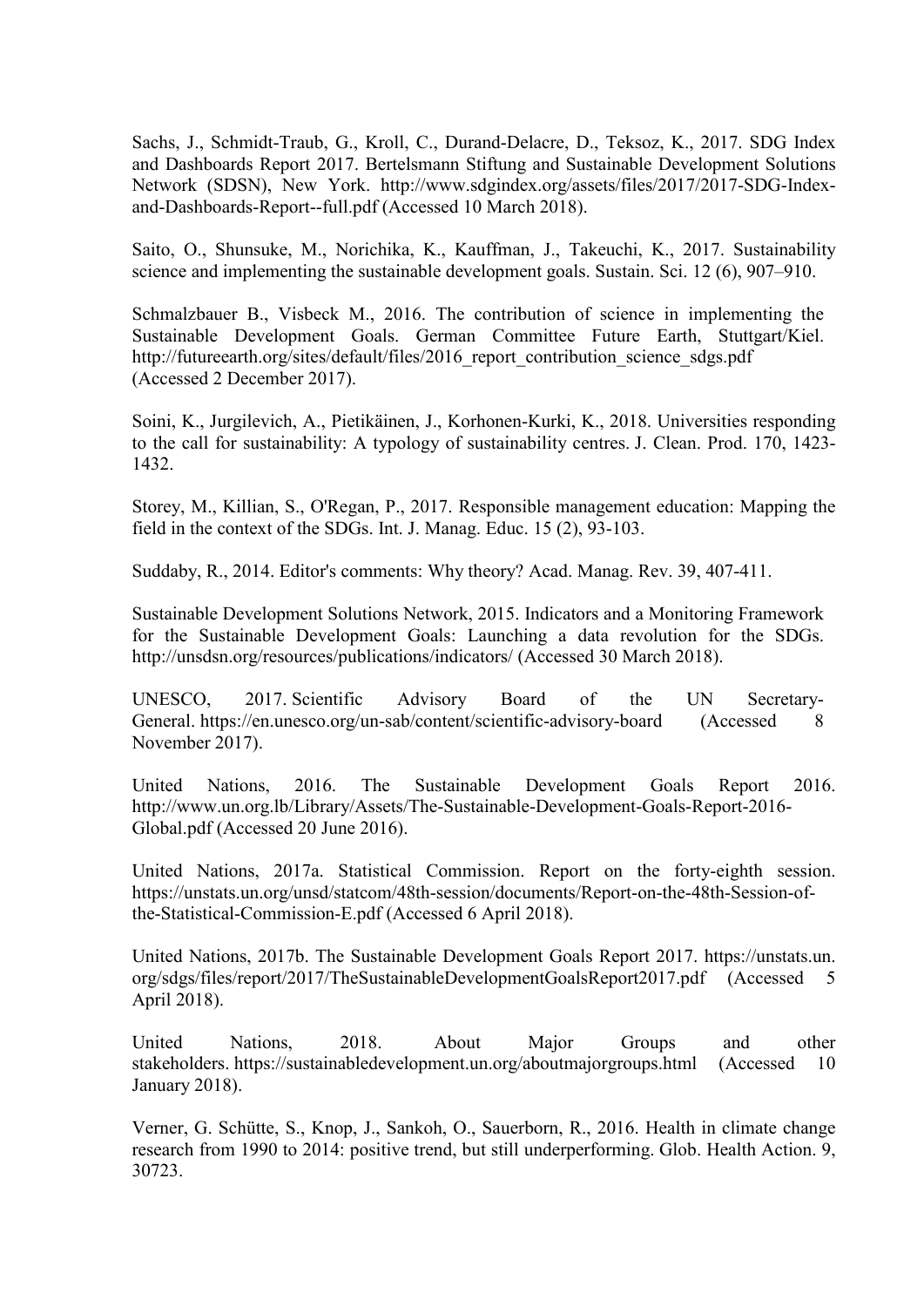Sachs, J., Schmidt-Traub, G., Kroll, C., Durand-Delacre, D., Teksoz, K., 2017. SDG Index and Dashboards Report 2017. Bertelsmann Stiftung and Sustainable Development Solutions Network (SDSN), New York. http://www.sdgindex.org/assets/files/2017/2017-SDG-Indexand-Dashboards-Report--full.pdf (Accessed 10 March 2018).

Saito, O., Shunsuke, M., Norichika, K., Kauffman, J., Takeuchi, K., 2017. Sustainability science and implementing the sustainable development goals. Sustain. Sci. 12 (6), 907–910.

Schmalzbauer B., Visbeck M., 2016. The contribution of science in implementing the Sustainable Development Goals. German Committee Future Earth, Stuttgart/Kiel. http://futureearth.org/sites/default/files/2016 report contribution science sdgs.pdf (Accessed 2 December 2017).

Soini, K., Jurgilevich, A., Pietikäinen, J., Korhonen-Kurki, K., 2018. Universities responding to the call for sustainability: A typology of sustainability centres. J. Clean. Prod. 170, 1423- 1432.

Storey, M., Killian, S., O'Regan, P., 2017. Responsible management education: Mapping the field in the context of the SDGs. Int. J. Manag. Educ. 15 (2), 93-103.

Suddaby, R., 2014. Editor's comments: Why theory? Acad. Manag. Rev. 39, 407-411.

Sustainable Development Solutions Network, 2015. Indicators and a Monitoring Framework for the Sustainable Development Goals: Launching a data revolution for the SDGs. http://unsdsn.org/resources/publications/indicators/ (Accessed 30 March 2018).

UNESCO, 2017. Scientific Advisory Board of the UN Secretary-General. https://en.unesco.org/un-sab/content/scientific-advisory-board (Accessed 8 November 2017).

United Nations, 2016. The Sustainable Development Goals Report 2016. http://www.un.org.lb/Library/Assets/The-Sustainable-Development-Goals-Report-2016- Global.pdf (Accessed 20 June 2016).

United Nations, 2017a. Statistical Commission. Report on the forty-eighth session. https://unstats.un.org/unsd/statcom/48th-session/documents/Report-on-the-48th-Session-ofthe-Statistical-Commission-E.pdf (Accessed 6 April 2018).

United Nations, 2017b. The Sustainable Development Goals Report 2017. https://unstats.un. org/sdgs/files/report/2017/TheSustainableDevelopmentGoalsReport2017.pdf (Accessed 5 April 2018).

United Nations, 2018. About Major Groups and other stakeholders. https://sustainabledevelopment.un.org/aboutmajorgroups.html (Accessed 10 January 2018).

Verner, G. Schütte, S., Knop, J., Sankoh, O., Sauerborn, R., 2016. Health in climate change research from 1990 to 2014: positive trend, but still underperforming. Glob. Health Action. 9, 30723.